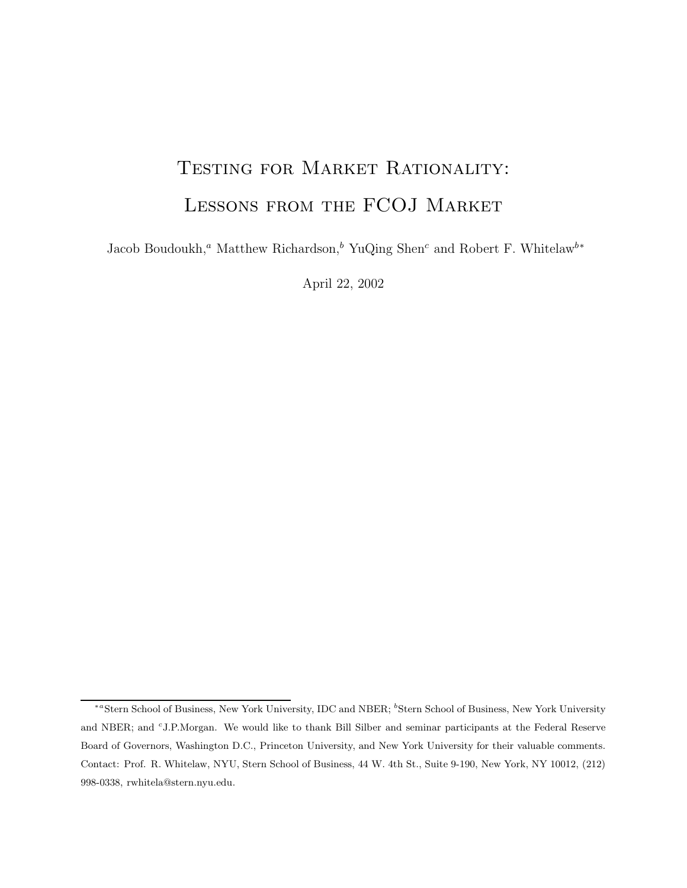# TESTING FOR MARKET RATIONALITY: Lessons from the FCOJ Market

Jacob Boudoukh,*<sup>a</sup>* Matthew Richardson,*<sup>b</sup>* YuQing Shen*<sup>c</sup>* and Robert F. Whitelaw*<sup>b</sup>*<sup>∗</sup>

April 22, 2002

<sup>∗</sup>*<sup>a</sup>*Stern School of Business, New York University, IDC and NBER; *<sup>b</sup>* Stern School of Business, New York University and NBER; and *<sup>c</sup>*J.P.Morgan. We would like to thank Bill Silber and seminar participants at the Federal Reserve Board of Governors, Washington D.C., Princeton University, and New York University for their valuable comments. Contact: Prof. R. Whitelaw, NYU, Stern School of Business, 44 W. 4th St., Suite 9-190, New York, NY 10012, (212) 998-0338, rwhitela@stern.nyu.edu.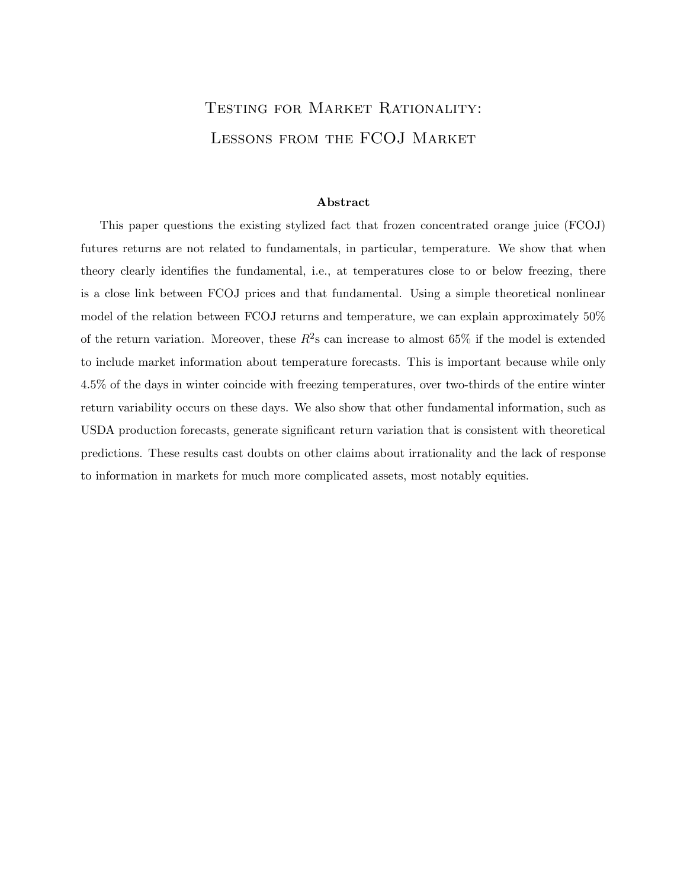# Testing for Market Rationality: Lessons from the FCOJ Market

This paper questions the existing stylized fact that frozen concentrated orange juice (FCOJ) futures returns are not related to fundamentals, in particular, temperature. We show that when theory clearly identifies the fundamental, i.e., at temperatures close to or below freezing, there is a close link between FCOJ prices and that fundamental. Using a simple theoretical nonlinear model of the relation between FCOJ returns and temperature, we can explain approximately 50% of the return variation. Moreover, these  $R^2$ s can increase to almost 65% if the model is extended to include market information about temperature forecasts. This is important because while only 4.5% of the days in winter coincide with freezing temperatures, over two-thirds of the entire winter return variability occurs on these days. We also show that other fundamental information, such as USDA production forecasts, generate significant return variation that is consistent with theoretical predictions. These results cast doubts on other claims about irrationality and the lack of response to information in markets for much more complicated assets, most notably equities.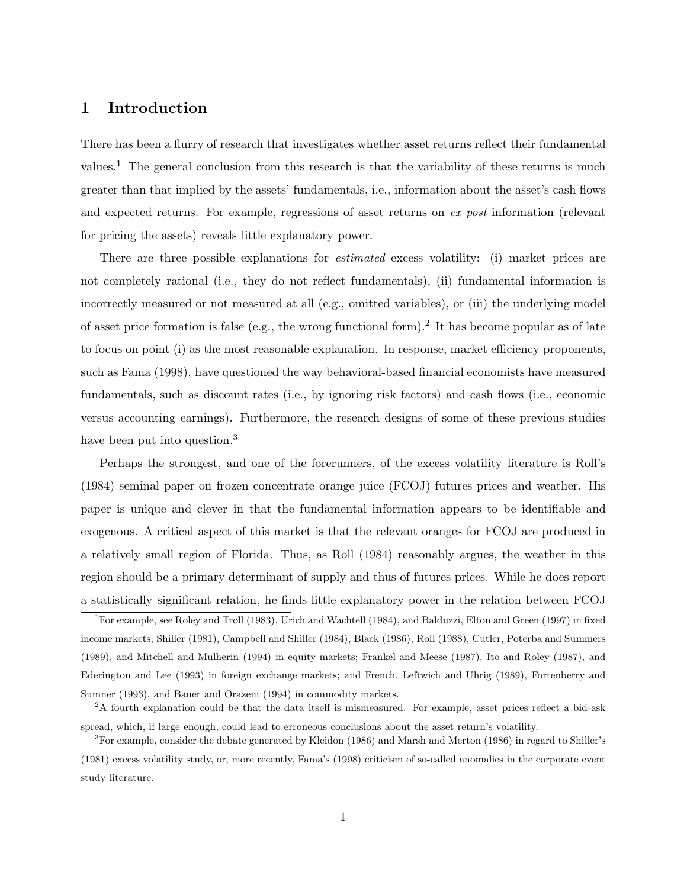## **1 Introduction**

There has been a flurry of research that investigates whether asset returns reflect their fundamental values.<sup>1</sup> The general conclusion from this research is that the variability of these returns is much greater than that implied by the assets' fundamentals, i.e., information about the asset's cash flows and expected returns. For example, regressions of asset returns on *ex post* information (relevant for pricing the assets) reveals little explanatory power.

There are three possible explanations for *estimated* excess volatility: (i) market prices are not completely rational (i.e., they do not reflect fundamentals), (ii) fundamental information is incorrectly measured or not measured at all (e.g., omitted variables), or (iii) the underlying model of asset price formation is false (e.g., the wrong functional form).<sup>2</sup> It has become popular as of late to focus on point (i) as the most reasonable explanation. In response, market efficiency proponents, such as Fama (1998), have questioned the way behavioral-based financial economists have measured fundamentals, such as discount rates (i.e., by ignoring risk factors) and cash flows (i.e., economic versus accounting earnings). Furthermore, the research designs of some of these previous studies have been put into question.<sup>3</sup>

Perhaps the strongest, and one of the forerunners, of the excess volatility literature is Roll's (1984) seminal paper on frozen concentrate orange juice (FCOJ) futures prices and weather. His paper is unique and clever in that the fundamental information appears to be identifiable and exogenous. A critical aspect of this market is that the relevant oranges for FCOJ are produced in a relatively small region of Florida. Thus, as Roll (1984) reasonably argues, the weather in this region should be a primary determinant of supply and thus of futures prices. While he does report a statistically significant relation, he finds little explanatory power in the relation between FCOJ

<sup>1</sup>For example, see Roley and Troll (1983), Urich and Wachtell (1984), and Balduzzi, Elton and Green (1997) in fixed income markets; Shiller (1981), Campbell and Shiller (1984), Black (1986), Roll (1988), Cutler, Poterba and Summers (1989), and Mitchell and Mulherin (1994) in equity markets; Frankel and Meese (1987), Ito and Roley (1987), and Ederington and Lee (1993) in foreign exchange markets; and French, Leftwich and Uhrig (1989), Fortenberry and Sumner (1993), and Bauer and Orazem (1994) in commodity markets.

<sup>&</sup>lt;sup>2</sup>A fourth explanation could be that the data itself is mismeasured. For example, asset prices reflect a bid-ask spread, which, if large enough, could lead to erroneous conclusions about the asset return's volatility.

<sup>3</sup>For example, consider the debate generated by Kleidon (1986) and Marsh and Merton (1986) in regard to Shiller's (1981) excess volatility study, or, more recently, Fama's (1998) criticism of so-called anomalies in the corporate event study literature.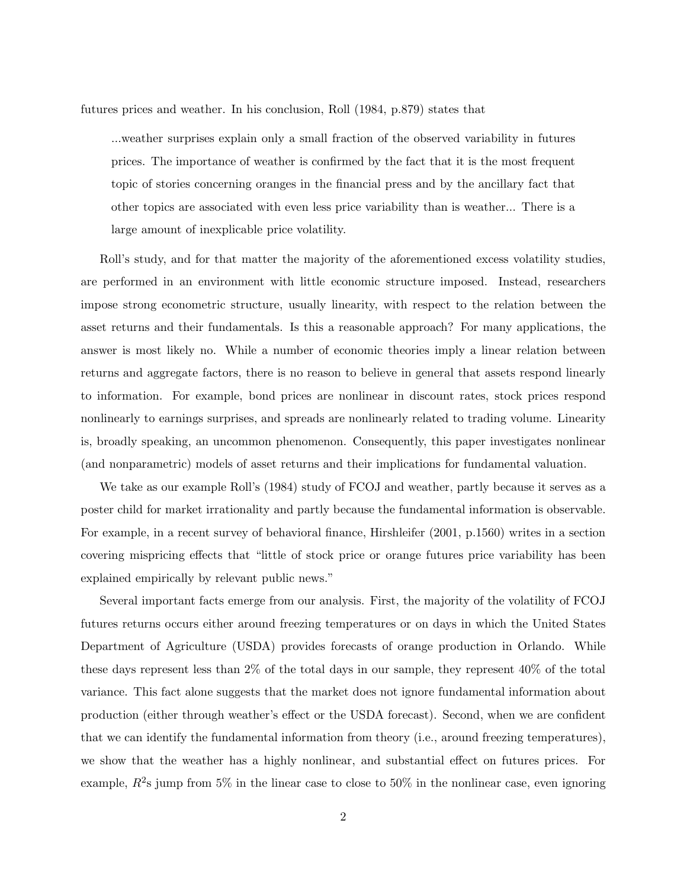futures prices and weather. In his conclusion, Roll (1984, p.879) states that

...weather surprises explain only a small fraction of the observed variability in futures prices. The importance of weather is confirmed by the fact that it is the most frequent topic of stories concerning oranges in the financial press and by the ancillary fact that other topics are associated with even less price variability than is weather... There is a large amount of inexplicable price volatility.

Roll's study, and for that matter the majority of the aforementioned excess volatility studies, are performed in an environment with little economic structure imposed. Instead, researchers impose strong econometric structure, usually linearity, with respect to the relation between the asset returns and their fundamentals. Is this a reasonable approach? For many applications, the answer is most likely no. While a number of economic theories imply a linear relation between returns and aggregate factors, there is no reason to believe in general that assets respond linearly to information. For example, bond prices are nonlinear in discount rates, stock prices respond nonlinearly to earnings surprises, and spreads are nonlinearly related to trading volume. Linearity is, broadly speaking, an uncommon phenomenon. Consequently, this paper investigates nonlinear (and nonparametric) models of asset returns and their implications for fundamental valuation.

We take as our example Roll's (1984) study of FCOJ and weather, partly because it serves as a poster child for market irrationality and partly because the fundamental information is observable. For example, in a recent survey of behavioral finance, Hirshleifer (2001, p.1560) writes in a section covering mispricing effects that "little of stock price or orange futures price variability has been explained empirically by relevant public news."

Several important facts emerge from our analysis. First, the majority of the volatility of FCOJ futures returns occurs either around freezing temperatures or on days in which the United States Department of Agriculture (USDA) provides forecasts of orange production in Orlando. While these days represent less than 2% of the total days in our sample, they represent 40% of the total variance. This fact alone suggests that the market does not ignore fundamental information about production (either through weather's effect or the USDA forecast). Second, when we are confident that we can identify the fundamental information from theory (i.e., around freezing temperatures), we show that the weather has a highly nonlinear, and substantial effect on futures prices. For example,  $R^2$ s jump from 5% in the linear case to close to 50% in the nonlinear case, even ignoring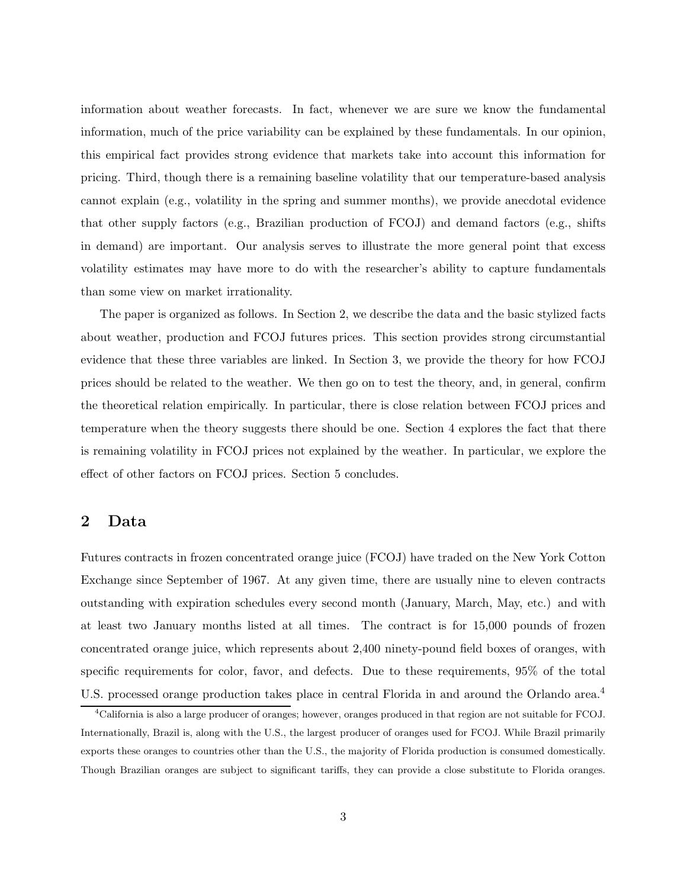information about weather forecasts. In fact, whenever we are sure we know the fundamental information, much of the price variability can be explained by these fundamentals. In our opinion, this empirical fact provides strong evidence that markets take into account this information for pricing. Third, though there is a remaining baseline volatility that our temperature-based analysis cannot explain (e.g., volatility in the spring and summer months), we provide anecdotal evidence that other supply factors (e.g., Brazilian production of FCOJ) and demand factors (e.g., shifts in demand) are important. Our analysis serves to illustrate the more general point that excess volatility estimates may have more to do with the researcher's ability to capture fundamentals than some view on market irrationality.

The paper is organized as follows. In Section 2, we describe the data and the basic stylized facts about weather, production and FCOJ futures prices. This section provides strong circumstantial evidence that these three variables are linked. In Section 3, we provide the theory for how FCOJ prices should be related to the weather. We then go on to test the theory, and, in general, confirm the theoretical relation empirically. In particular, there is close relation between FCOJ prices and temperature when the theory suggests there should be one. Section 4 explores the fact that there is remaining volatility in FCOJ prices not explained by the weather. In particular, we explore the effect of other factors on FCOJ prices. Section 5 concludes.

## **2 Data**

Futures contracts in frozen concentrated orange juice (FCOJ) have traded on the New York Cotton Exchange since September of 1967. At any given time, there are usually nine to eleven contracts outstanding with expiration schedules every second month (January, March, May, etc.) and with at least two January months listed at all times. The contract is for 15,000 pounds of frozen concentrated orange juice, which represents about 2,400 ninety-pound field boxes of oranges, with specific requirements for color, favor, and defects. Due to these requirements, 95% of the total U.S. processed orange production takes place in central Florida in and around the Orlando area.<sup>4</sup>

<sup>4</sup>California is also a large producer of oranges; however, oranges produced in that region are not suitable for FCOJ. Internationally, Brazil is, along with the U.S., the largest producer of oranges used for FCOJ. While Brazil primarily exports these oranges to countries other than the U.S., the majority of Florida production is consumed domestically. Though Brazilian oranges are subject to significant tariffs, they can provide a close substitute to Florida oranges.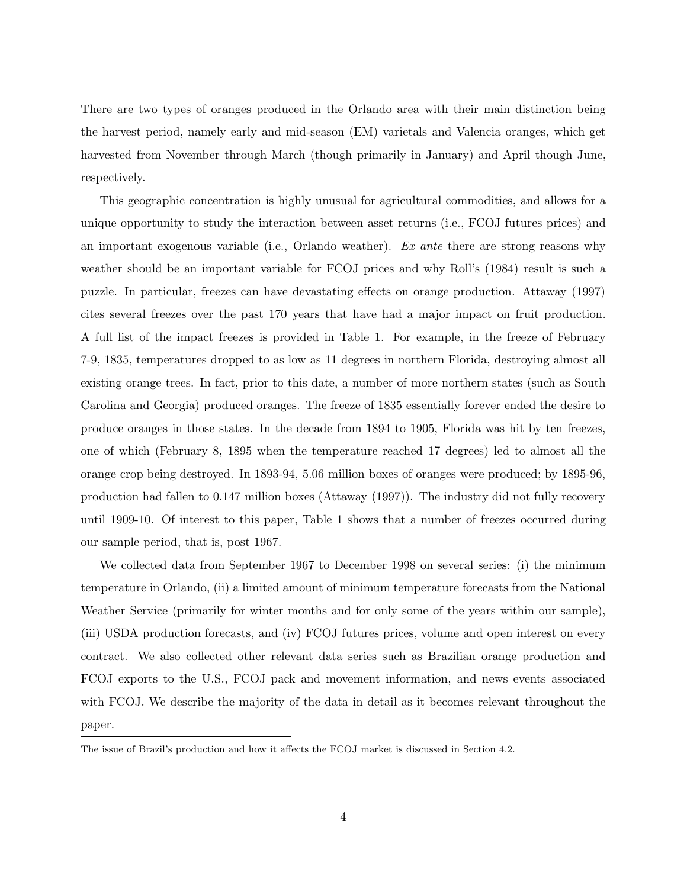There are two types of oranges produced in the Orlando area with their main distinction being the harvest period, namely early and mid-season (EM) varietals and Valencia oranges, which get harvested from November through March (though primarily in January) and April though June, respectively.

This geographic concentration is highly unusual for agricultural commodities, and allows for a unique opportunity to study the interaction between asset returns (i.e., FCOJ futures prices) and an important exogenous variable (i.e., Orlando weather). *Ex ante* there are strong reasons why weather should be an important variable for FCOJ prices and why Roll's (1984) result is such a puzzle. In particular, freezes can have devastating effects on orange production. Attaway (1997) cites several freezes over the past 170 years that have had a major impact on fruit production. A full list of the impact freezes is provided in Table 1. For example, in the freeze of February 7-9, 1835, temperatures dropped to as low as 11 degrees in northern Florida, destroying almost all existing orange trees. In fact, prior to this date, a number of more northern states (such as South Carolina and Georgia) produced oranges. The freeze of 1835 essentially forever ended the desire to produce oranges in those states. In the decade from 1894 to 1905, Florida was hit by ten freezes, one of which (February 8, 1895 when the temperature reached 17 degrees) led to almost all the orange crop being destroyed. In 1893-94, 5.06 million boxes of oranges were produced; by 1895-96, production had fallen to 0.147 million boxes (Attaway (1997)). The industry did not fully recovery until 1909-10. Of interest to this paper, Table 1 shows that a number of freezes occurred during our sample period, that is, post 1967.

We collected data from September 1967 to December 1998 on several series: (i) the minimum temperature in Orlando, (ii) a limited amount of minimum temperature forecasts from the National Weather Service (primarily for winter months and for only some of the years within our sample), (iii) USDA production forecasts, and (iv) FCOJ futures prices, volume and open interest on every contract. We also collected other relevant data series such as Brazilian orange production and FCOJ exports to the U.S., FCOJ pack and movement information, and news events associated with FCOJ. We describe the majority of the data in detail as it becomes relevant throughout the paper.

The issue of Brazil's production and how it affects the FCOJ market is discussed in Section 4.2.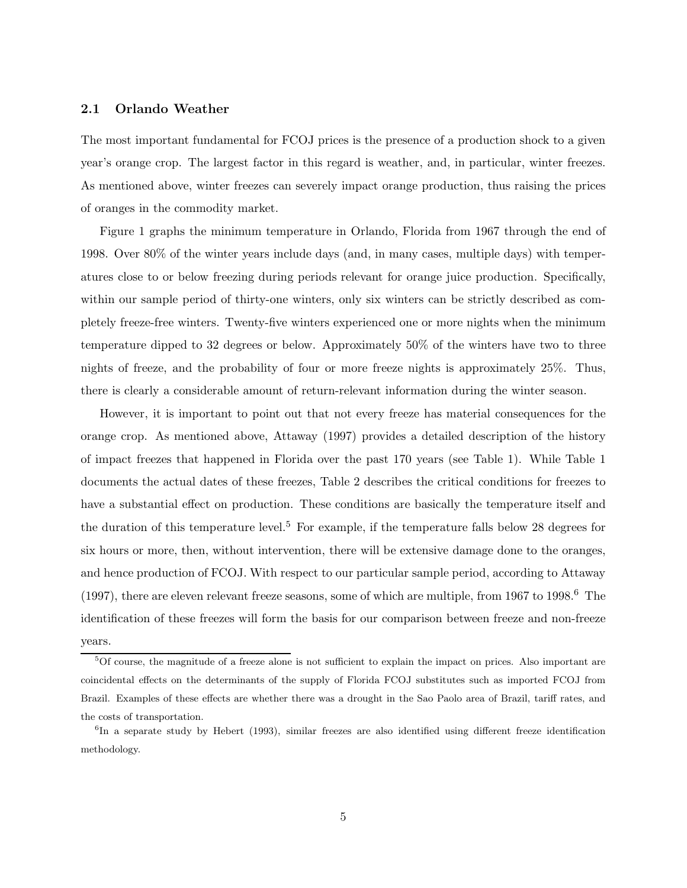## **2.1 Orlando Weather**

The most important fundamental for FCOJ prices is the presence of a production shock to a given year's orange crop. The largest factor in this regard is weather, and, in particular, winter freezes. As mentioned above, winter freezes can severely impact orange production, thus raising the prices of oranges in the commodity market.

Figure 1 graphs the minimum temperature in Orlando, Florida from 1967 through the end of 1998. Over 80% of the winter years include days (and, in many cases, multiple days) with temperatures close to or below freezing during periods relevant for orange juice production. Specifically, within our sample period of thirty-one winters, only six winters can be strictly described as completely freeze-free winters. Twenty-five winters experienced one or more nights when the minimum temperature dipped to 32 degrees or below. Approximately 50% of the winters have two to three nights of freeze, and the probability of four or more freeze nights is approximately 25%. Thus, there is clearly a considerable amount of return-relevant information during the winter season.

However, it is important to point out that not every freeze has material consequences for the orange crop. As mentioned above, Attaway (1997) provides a detailed description of the history of impact freezes that happened in Florida over the past 170 years (see Table 1). While Table 1 documents the actual dates of these freezes, Table 2 describes the critical conditions for freezes to have a substantial effect on production. These conditions are basically the temperature itself and the duration of this temperature level.<sup>5</sup> For example, if the temperature falls below 28 degrees for six hours or more, then, without intervention, there will be extensive damage done to the oranges, and hence production of FCOJ. With respect to our particular sample period, according to Attaway (1997), there are eleven relevant freeze seasons, some of which are multiple, from  $1967$  to  $1998.6$  The identification of these freezes will form the basis for our comparison between freeze and non-freeze years.

 ${}^{5}$ Of course, the magnitude of a freeze alone is not sufficient to explain the impact on prices. Also important are coincidental effects on the determinants of the supply of Florida FCOJ substitutes such as imported FCOJ from Brazil. Examples of these effects are whether there was a drought in the Sao Paolo area of Brazil, tariff rates, and the costs of transportation.

 ${}^{6}$ In a separate study by Hebert (1993), similar freezes are also identified using different freeze identification methodology.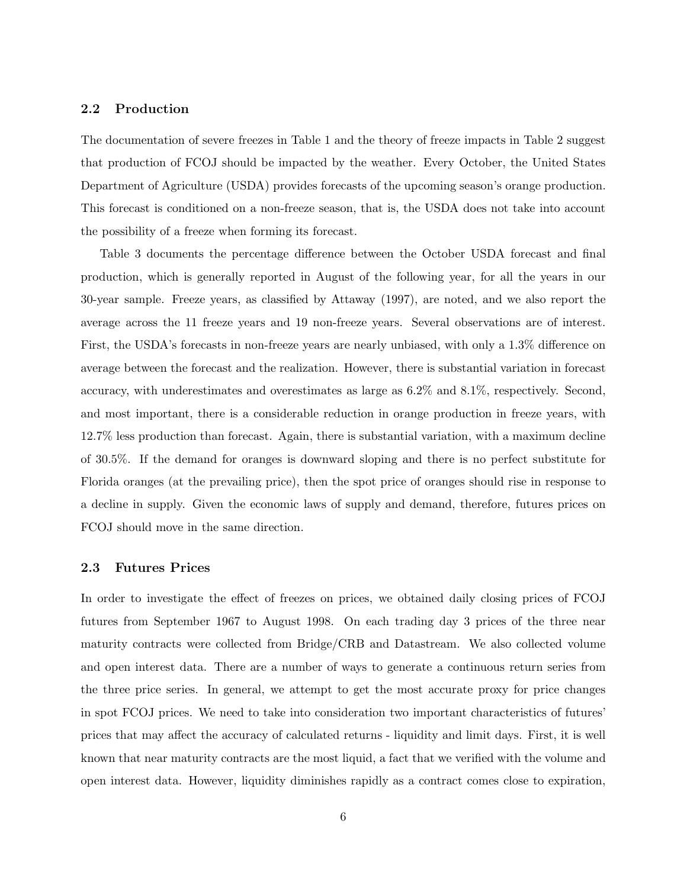## **2.2 Production**

The documentation of severe freezes in Table 1 and the theory of freeze impacts in Table 2 suggest that production of FCOJ should be impacted by the weather. Every October, the United States Department of Agriculture (USDA) provides forecasts of the upcoming season's orange production. This forecast is conditioned on a non-freeze season, that is, the USDA does not take into account the possibility of a freeze when forming its forecast.

Table 3 documents the percentage difference between the October USDA forecast and final production, which is generally reported in August of the following year, for all the years in our 30-year sample. Freeze years, as classified by Attaway (1997), are noted, and we also report the average across the 11 freeze years and 19 non-freeze years. Several observations are of interest. First, the USDA's forecasts in non-freeze years are nearly unbiased, with only a 1.3% difference on average between the forecast and the realization. However, there is substantial variation in forecast accuracy, with underestimates and overestimates as large as 6.2% and 8.1%, respectively. Second, and most important, there is a considerable reduction in orange production in freeze years, with 12.7% less production than forecast. Again, there is substantial variation, with a maximum decline of 30.5%. If the demand for oranges is downward sloping and there is no perfect substitute for Florida oranges (at the prevailing price), then the spot price of oranges should rise in response to a decline in supply. Given the economic laws of supply and demand, therefore, futures prices on FCOJ should move in the same direction.

## **2.3 Futures Prices**

In order to investigate the effect of freezes on prices, we obtained daily closing prices of FCOJ futures from September 1967 to August 1998. On each trading day 3 prices of the three near maturity contracts were collected from Bridge/CRB and Datastream. We also collected volume and open interest data. There are a number of ways to generate a continuous return series from the three price series. In general, we attempt to get the most accurate proxy for price changes in spot FCOJ prices. We need to take into consideration two important characteristics of futures' prices that may affect the accuracy of calculated returns - liquidity and limit days. First, it is well known that near maturity contracts are the most liquid, a fact that we verified with the volume and open interest data. However, liquidity diminishes rapidly as a contract comes close to expiration,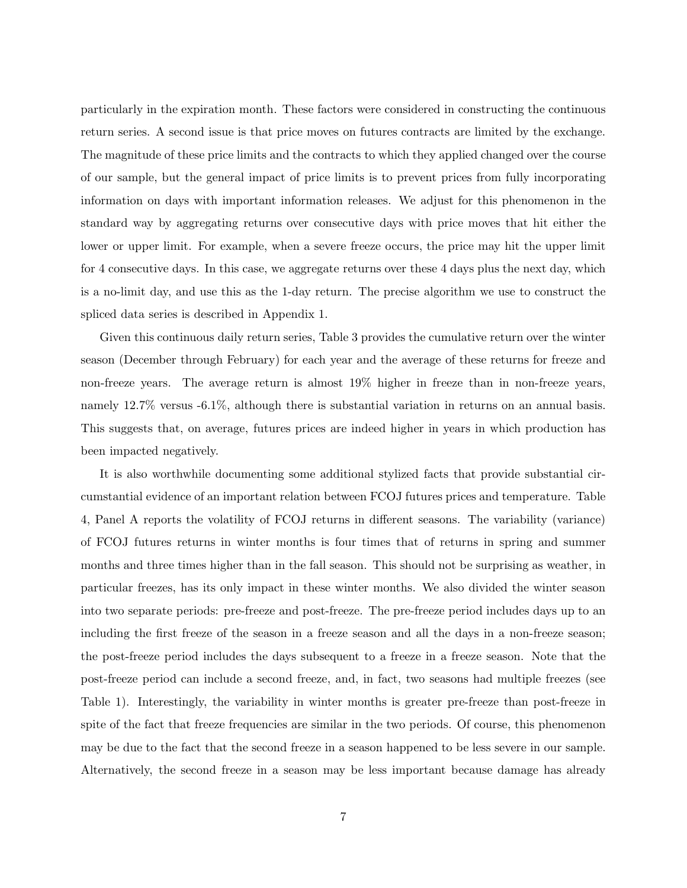particularly in the expiration month. These factors were considered in constructing the continuous return series. A second issue is that price moves on futures contracts are limited by the exchange. The magnitude of these price limits and the contracts to which they applied changed over the course of our sample, but the general impact of price limits is to prevent prices from fully incorporating information on days with important information releases. We adjust for this phenomenon in the standard way by aggregating returns over consecutive days with price moves that hit either the lower or upper limit. For example, when a severe freeze occurs, the price may hit the upper limit for 4 consecutive days. In this case, we aggregate returns over these 4 days plus the next day, which is a no-limit day, and use this as the 1-day return. The precise algorithm we use to construct the spliced data series is described in Appendix 1.

Given this continuous daily return series, Table 3 provides the cumulative return over the winter season (December through February) for each year and the average of these returns for freeze and non-freeze years. The average return is almost 19% higher in freeze than in non-freeze years, namely 12.7% versus -6.1%, although there is substantial variation in returns on an annual basis. This suggests that, on average, futures prices are indeed higher in years in which production has been impacted negatively.

It is also worthwhile documenting some additional stylized facts that provide substantial circumstantial evidence of an important relation between FCOJ futures prices and temperature. Table 4, Panel A reports the volatility of FCOJ returns in different seasons. The variability (variance) of FCOJ futures returns in winter months is four times that of returns in spring and summer months and three times higher than in the fall season. This should not be surprising as weather, in particular freezes, has its only impact in these winter months. We also divided the winter season into two separate periods: pre-freeze and post-freeze. The pre-freeze period includes days up to an including the first freeze of the season in a freeze season and all the days in a non-freeze season; the post-freeze period includes the days subsequent to a freeze in a freeze season. Note that the post-freeze period can include a second freeze, and, in fact, two seasons had multiple freezes (see Table 1). Interestingly, the variability in winter months is greater pre-freeze than post-freeze in spite of the fact that freeze frequencies are similar in the two periods. Of course, this phenomenon may be due to the fact that the second freeze in a season happened to be less severe in our sample. Alternatively, the second freeze in a season may be less important because damage has already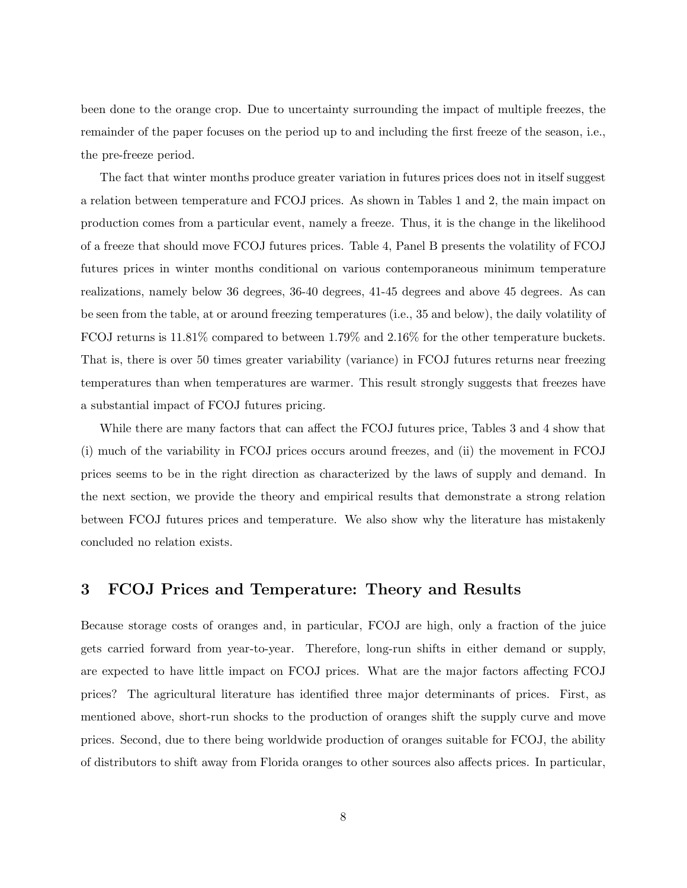been done to the orange crop. Due to uncertainty surrounding the impact of multiple freezes, the remainder of the paper focuses on the period up to and including the first freeze of the season, i.e., the pre-freeze period.

The fact that winter months produce greater variation in futures prices does not in itself suggest a relation between temperature and FCOJ prices. As shown in Tables 1 and 2, the main impact on production comes from a particular event, namely a freeze. Thus, it is the change in the likelihood of a freeze that should move FCOJ futures prices. Table 4, Panel B presents the volatility of FCOJ futures prices in winter months conditional on various contemporaneous minimum temperature realizations, namely below 36 degrees, 36-40 degrees, 41-45 degrees and above 45 degrees. As can be seen from the table, at or around freezing temperatures (i.e., 35 and below), the daily volatility of FCOJ returns is 11.81% compared to between 1.79% and 2.16% for the other temperature buckets. That is, there is over 50 times greater variability (variance) in FCOJ futures returns near freezing temperatures than when temperatures are warmer. This result strongly suggests that freezes have a substantial impact of FCOJ futures pricing.

While there are many factors that can affect the FCOJ futures price, Tables 3 and 4 show that (i) much of the variability in FCOJ prices occurs around freezes, and (ii) the movement in FCOJ prices seems to be in the right direction as characterized by the laws of supply and demand. In the next section, we provide the theory and empirical results that demonstrate a strong relation between FCOJ futures prices and temperature. We also show why the literature has mistakenly concluded no relation exists.

## **3 FCOJ Prices and Temperature: Theory and Results**

Because storage costs of oranges and, in particular, FCOJ are high, only a fraction of the juice gets carried forward from year-to-year. Therefore, long-run shifts in either demand or supply, are expected to have little impact on FCOJ prices. What are the major factors affecting FCOJ prices? The agricultural literature has identified three major determinants of prices. First, as mentioned above, short-run shocks to the production of oranges shift the supply curve and move prices. Second, due to there being worldwide production of oranges suitable for FCOJ, the ability of distributors to shift away from Florida oranges to other sources also affects prices. In particular,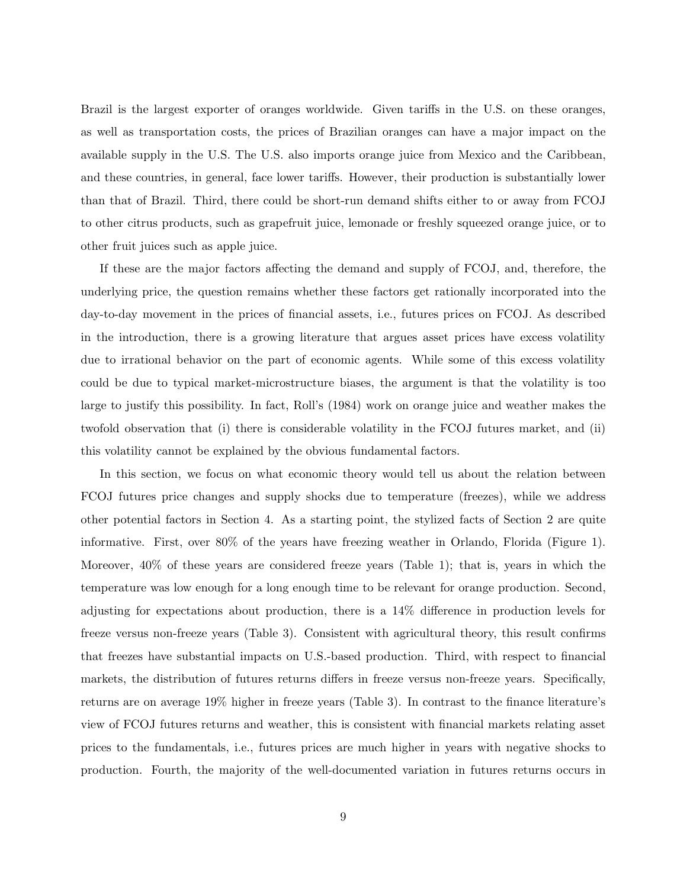Brazil is the largest exporter of oranges worldwide. Given tariffs in the U.S. on these oranges, as well as transportation costs, the prices of Brazilian oranges can have a major impact on the available supply in the U.S. The U.S. also imports orange juice from Mexico and the Caribbean, and these countries, in general, face lower tariffs. However, their production is substantially lower than that of Brazil. Third, there could be short-run demand shifts either to or away from FCOJ to other citrus products, such as grapefruit juice, lemonade or freshly squeezed orange juice, or to other fruit juices such as apple juice.

If these are the major factors affecting the demand and supply of FCOJ, and, therefore, the underlying price, the question remains whether these factors get rationally incorporated into the day-to-day movement in the prices of financial assets, i.e., futures prices on FCOJ. As described in the introduction, there is a growing literature that argues asset prices have excess volatility due to irrational behavior on the part of economic agents. While some of this excess volatility could be due to typical market-microstructure biases, the argument is that the volatility is too large to justify this possibility. In fact, Roll's (1984) work on orange juice and weather makes the twofold observation that (i) there is considerable volatility in the FCOJ futures market, and (ii) this volatility cannot be explained by the obvious fundamental factors.

In this section, we focus on what economic theory would tell us about the relation between FCOJ futures price changes and supply shocks due to temperature (freezes), while we address other potential factors in Section 4. As a starting point, the stylized facts of Section 2 are quite informative. First, over 80% of the years have freezing weather in Orlando, Florida (Figure 1). Moreover, 40% of these years are considered freeze years (Table 1); that is, years in which the temperature was low enough for a long enough time to be relevant for orange production. Second, adjusting for expectations about production, there is a 14% difference in production levels for freeze versus non-freeze years (Table 3). Consistent with agricultural theory, this result confirms that freezes have substantial impacts on U.S.-based production. Third, with respect to financial markets, the distribution of futures returns differs in freeze versus non-freeze years. Specifically, returns are on average 19% higher in freeze years (Table 3). In contrast to the finance literature's view of FCOJ futures returns and weather, this is consistent with financial markets relating asset prices to the fundamentals, i.e., futures prices are much higher in years with negative shocks to production. Fourth, the majority of the well-documented variation in futures returns occurs in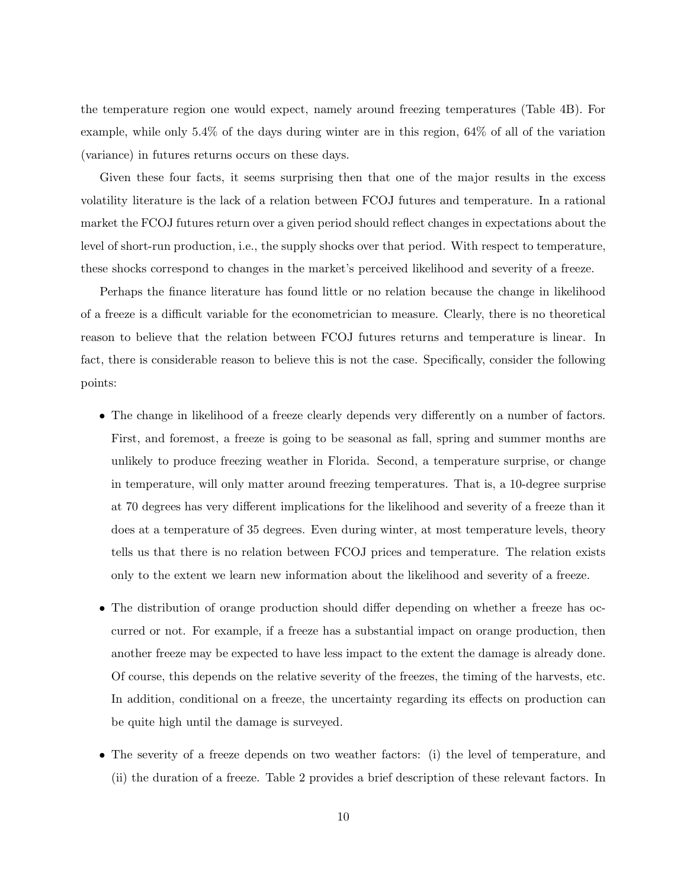the temperature region one would expect, namely around freezing temperatures (Table 4B). For example, while only 5.4% of the days during winter are in this region, 64% of all of the variation (variance) in futures returns occurs on these days.

Given these four facts, it seems surprising then that one of the major results in the excess volatility literature is the lack of a relation between FCOJ futures and temperature. In a rational market the FCOJ futures return over a given period should reflect changes in expectations about the level of short-run production, i.e., the supply shocks over that period. With respect to temperature, these shocks correspond to changes in the market's perceived likelihood and severity of a freeze.

Perhaps the finance literature has found little or no relation because the change in likelihood of a freeze is a difficult variable for the econometrician to measure. Clearly, there is no theoretical reason to believe that the relation between FCOJ futures returns and temperature is linear. In fact, there is considerable reason to believe this is not the case. Specifically, consider the following points:

- The change in likelihood of a freeze clearly depends very differently on a number of factors. First, and foremost, a freeze is going to be seasonal as fall, spring and summer months are unlikely to produce freezing weather in Florida. Second, a temperature surprise, or change in temperature, will only matter around freezing temperatures. That is, a 10-degree surprise at 70 degrees has very different implications for the likelihood and severity of a freeze than it does at a temperature of 35 degrees. Even during winter, at most temperature levels, theory tells us that there is no relation between FCOJ prices and temperature. The relation exists only to the extent we learn new information about the likelihood and severity of a freeze.
- The distribution of orange production should differ depending on whether a freeze has occurred or not. For example, if a freeze has a substantial impact on orange production, then another freeze may be expected to have less impact to the extent the damage is already done. Of course, this depends on the relative severity of the freezes, the timing of the harvests, etc. In addition, conditional on a freeze, the uncertainty regarding its effects on production can be quite high until the damage is surveyed.
- The severity of a freeze depends on two weather factors: (i) the level of temperature, and (ii) the duration of a freeze. Table 2 provides a brief description of these relevant factors. In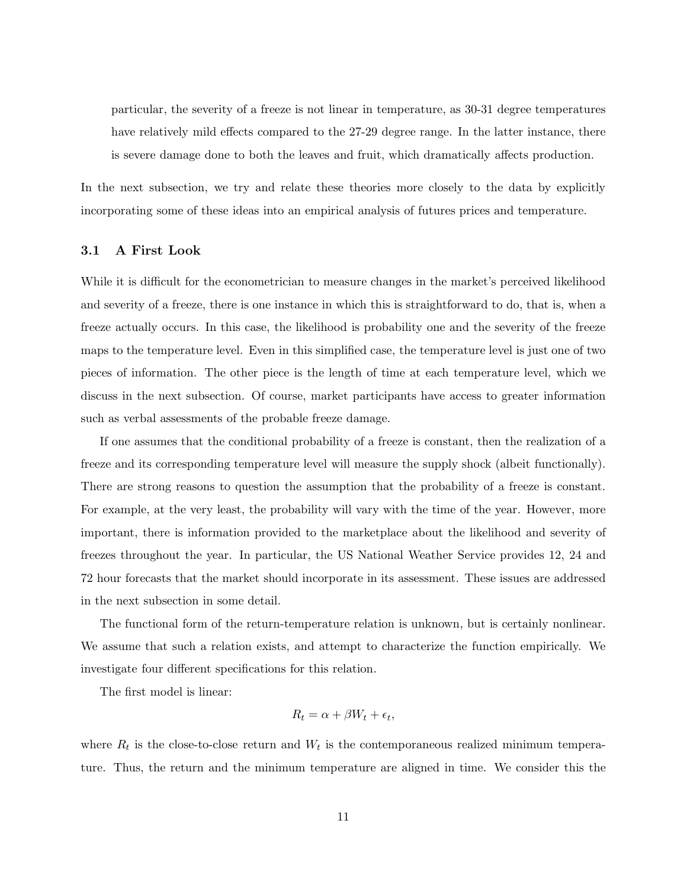particular, the severity of a freeze is not linear in temperature, as 30-31 degree temperatures have relatively mild effects compared to the 27-29 degree range. In the latter instance, there is severe damage done to both the leaves and fruit, which dramatically affects production.

In the next subsection, we try and relate these theories more closely to the data by explicitly incorporating some of these ideas into an empirical analysis of futures prices and temperature.

## **3.1 A First Look**

While it is difficult for the econometrician to measure changes in the market's perceived likelihood and severity of a freeze, there is one instance in which this is straightforward to do, that is, when a freeze actually occurs. In this case, the likelihood is probability one and the severity of the freeze maps to the temperature level. Even in this simplified case, the temperature level is just one of two pieces of information. The other piece is the length of time at each temperature level, which we discuss in the next subsection. Of course, market participants have access to greater information such as verbal assessments of the probable freeze damage.

If one assumes that the conditional probability of a freeze is constant, then the realization of a freeze and its corresponding temperature level will measure the supply shock (albeit functionally). There are strong reasons to question the assumption that the probability of a freeze is constant. For example, at the very least, the probability will vary with the time of the year. However, more important, there is information provided to the marketplace about the likelihood and severity of freezes throughout the year. In particular, the US National Weather Service provides 12, 24 and 72 hour forecasts that the market should incorporate in its assessment. These issues are addressed in the next subsection in some detail.

The functional form of the return-temperature relation is unknown, but is certainly nonlinear. We assume that such a relation exists, and attempt to characterize the function empirically. We investigate four different specifications for this relation.

The first model is linear:

$$
R_t = \alpha + \beta W_t + \epsilon_t,
$$

where  $R_t$  is the close-to-close return and  $W_t$  is the contemporaneous realized minimum temperature. Thus, the return and the minimum temperature are aligned in time. We consider this the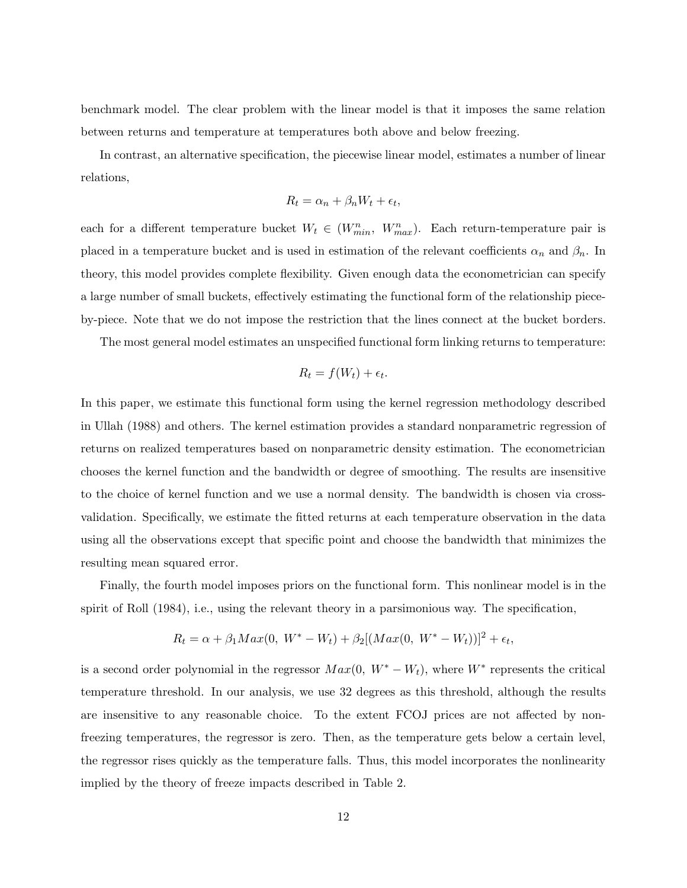benchmark model. The clear problem with the linear model is that it imposes the same relation between returns and temperature at temperatures both above and below freezing.

In contrast, an alternative specification, the piecewise linear model, estimates a number of linear relations,

$$
R_t = \alpha_n + \beta_n W_t + \epsilon_t,
$$

each for a different temperature bucket  $W_t \in (W_{min}^n, W_{max}^n)$ . Each return-temperature pair is placed in a temperature bucket and is used in estimation of the relevant coefficients  $\alpha_n$  and  $\beta_n$ . In theory, this model provides complete flexibility. Given enough data the econometrician can specify a large number of small buckets, effectively estimating the functional form of the relationship pieceby-piece. Note that we do not impose the restriction that the lines connect at the bucket borders.

The most general model estimates an unspecified functional form linking returns to temperature:

$$
R_t = f(W_t) + \epsilon_t.
$$

In this paper, we estimate this functional form using the kernel regression methodology described in Ullah (1988) and others. The kernel estimation provides a standard nonparametric regression of returns on realized temperatures based on nonparametric density estimation. The econometrician chooses the kernel function and the bandwidth or degree of smoothing. The results are insensitive to the choice of kernel function and we use a normal density. The bandwidth is chosen via crossvalidation. Specifically, we estimate the fitted returns at each temperature observation in the data using all the observations except that specific point and choose the bandwidth that minimizes the resulting mean squared error.

Finally, the fourth model imposes priors on the functional form. This nonlinear model is in the spirit of Roll (1984), i.e., using the relevant theory in a parsimonious way. The specification,

$$
R_t = \alpha + \beta_1 Max(0, \ W^* - W_t) + \beta_2 [(Max(0, \ W^* - W_t))]^2 + \epsilon_t,
$$

is a second order polynomial in the regressor  $Max(0, W^* - W_t)$ , where  $W^*$  represents the critical temperature threshold. In our analysis, we use 32 degrees as this threshold, although the results are insensitive to any reasonable choice. To the extent FCOJ prices are not affected by nonfreezing temperatures, the regressor is zero. Then, as the temperature gets below a certain level, the regressor rises quickly as the temperature falls. Thus, this model incorporates the nonlinearity implied by the theory of freeze impacts described in Table 2.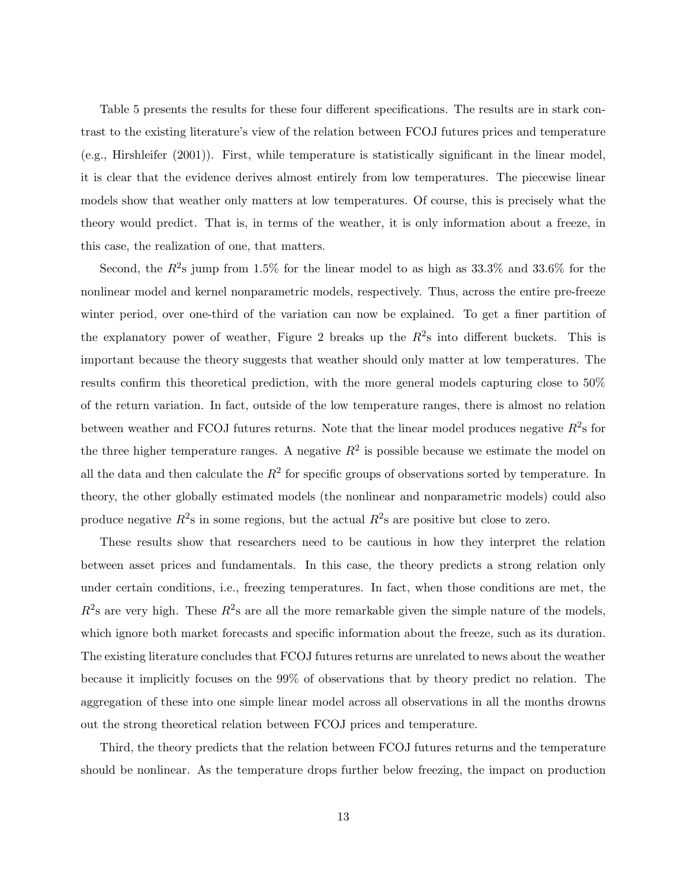Table 5 presents the results for these four different specifications. The results are in stark contrast to the existing literature's view of the relation between FCOJ futures prices and temperature (e.g., Hirshleifer (2001)). First, while temperature is statistically significant in the linear model, it is clear that the evidence derives almost entirely from low temperatures. The piecewise linear models show that weather only matters at low temperatures. Of course, this is precisely what the theory would predict. That is, in terms of the weather, it is only information about a freeze, in this case, the realization of one, that matters.

Second, the  $R^2$ s jump from 1.5% for the linear model to as high as 33.3% and 33.6% for the nonlinear model and kernel nonparametric models, respectively. Thus, across the entire pre-freeze winter period, over one-third of the variation can now be explained. To get a finer partition of the explanatory power of weather, Figure 2 breaks up the  $R^2$ s into different buckets. This is important because the theory suggests that weather should only matter at low temperatures. The results confirm this theoretical prediction, with the more general models capturing close to 50% of the return variation. In fact, outside of the low temperature ranges, there is almost no relation between weather and FCOJ futures returns. Note that the linear model produces negative  $R^2$ s for the three higher temperature ranges. A negative  $R^2$  is possible because we estimate the model on all the data and then calculate the  $R^2$  for specific groups of observations sorted by temperature. In theory, the other globally estimated models (the nonlinear and nonparametric models) could also produce negative  $R^2$ s in some regions, but the actual  $R^2$ s are positive but close to zero.

These results show that researchers need to be cautious in how they interpret the relation between asset prices and fundamentals. In this case, the theory predicts a strong relation only under certain conditions, i.e., freezing temperatures. In fact, when those conditions are met, the  $R^2$ s are very high. These  $R^2$ s are all the more remarkable given the simple nature of the models. which ignore both market forecasts and specific information about the freeze, such as its duration. The existing literature concludes that FCOJ futures returns are unrelated to news about the weather because it implicitly focuses on the 99% of observations that by theory predict no relation. The aggregation of these into one simple linear model across all observations in all the months drowns out the strong theoretical relation between FCOJ prices and temperature.

Third, the theory predicts that the relation between FCOJ futures returns and the temperature should be nonlinear. As the temperature drops further below freezing, the impact on production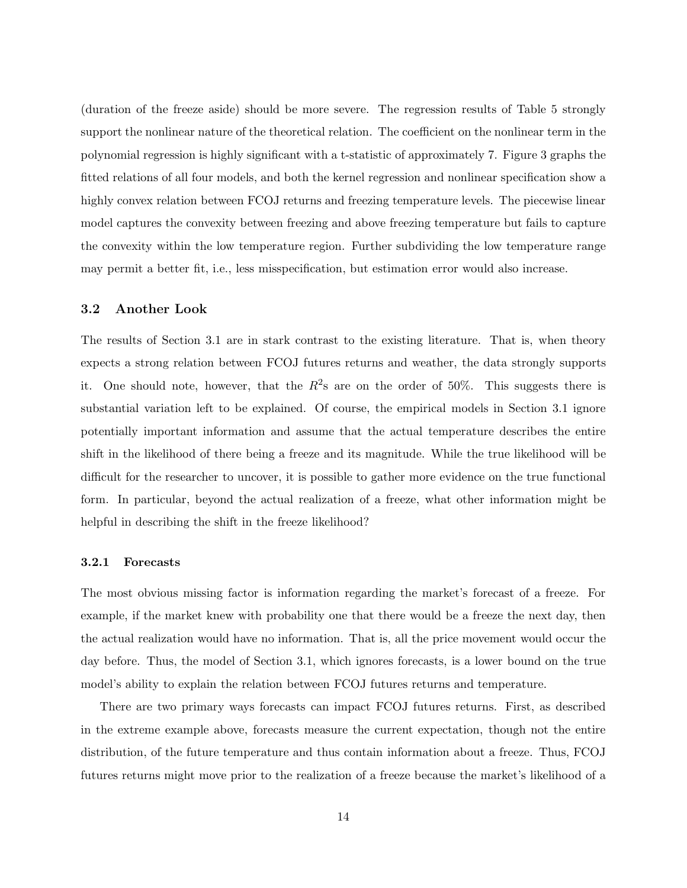(duration of the freeze aside) should be more severe. The regression results of Table 5 strongly support the nonlinear nature of the theoretical relation. The coefficient on the nonlinear term in the polynomial regression is highly significant with a t-statistic of approximately 7. Figure 3 graphs the fitted relations of all four models, and both the kernel regression and nonlinear specification show a highly convex relation between FCOJ returns and freezing temperature levels. The piecewise linear model captures the convexity between freezing and above freezing temperature but fails to capture the convexity within the low temperature region. Further subdividing the low temperature range may permit a better fit, i.e., less misspecification, but estimation error would also increase.

## **3.2 Another Look**

The results of Section 3.1 are in stark contrast to the existing literature. That is, when theory expects a strong relation between FCOJ futures returns and weather, the data strongly supports it. One should note, however, that the  $R^2$ s are on the order of 50%. This suggests there is substantial variation left to be explained. Of course, the empirical models in Section 3.1 ignore potentially important information and assume that the actual temperature describes the entire shift in the likelihood of there being a freeze and its magnitude. While the true likelihood will be difficult for the researcher to uncover, it is possible to gather more evidence on the true functional form. In particular, beyond the actual realization of a freeze, what other information might be helpful in describing the shift in the freeze likelihood?

The most obvious missing factor is information regarding the market's forecast of a freeze. For example, if the market knew with probability one that there would be a freeze the next day, then the actual realization would have no information. That is, all the price movement would occur the day before. Thus, the model of Section 3.1, which ignores forecasts, is a lower bound on the true model's ability to explain the relation between FCOJ futures returns and temperature.

There are two primary ways forecasts can impact FCOJ futures returns. First, as described in the extreme example above, forecasts measure the current expectation, though not the entire distribution, of the future temperature and thus contain information about a freeze. Thus, FCOJ futures returns might move prior to the realization of a freeze because the market's likelihood of a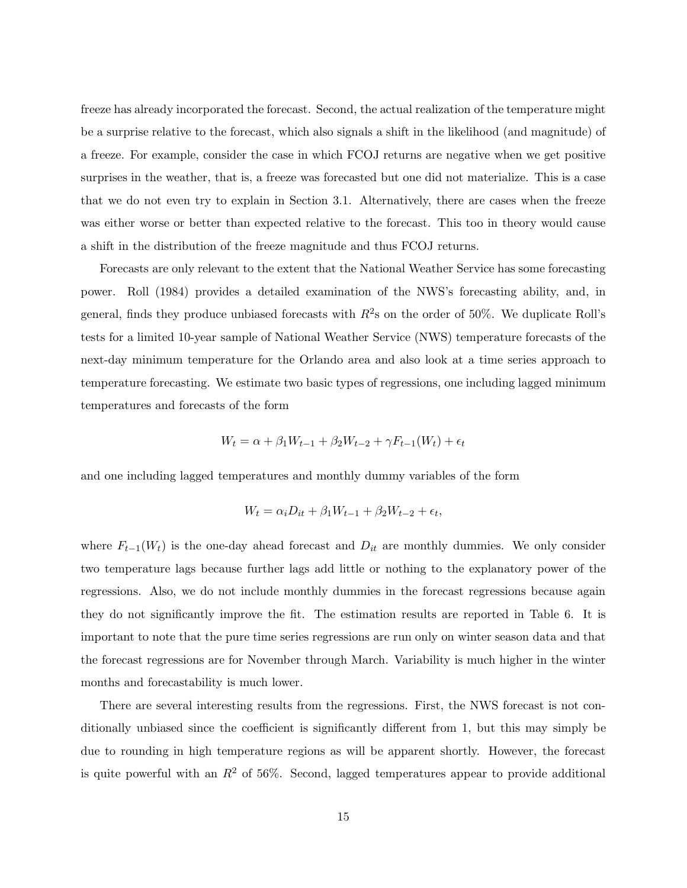freeze has already incorporated the forecast. Second, the actual realization of the temperature might be a surprise relative to the forecast, which also signals a shift in the likelihood (and magnitude) of a freeze. For example, consider the case in which FCOJ returns are negative when we get positive surprises in the weather, that is, a freeze was forecasted but one did not materialize. This is a case that we do not even try to explain in Section 3.1. Alternatively, there are cases when the freeze was either worse or better than expected relative to the forecast. This too in theory would cause a shift in the distribution of the freeze magnitude and thus FCOJ returns.

Forecasts are only relevant to the extent that the National Weather Service has some forecasting power. Roll (1984) provides a detailed examination of the NWS's forecasting ability, and, in general, finds they produce unbiased forecasts with  $R^2$ s on the order of 50%. We duplicate Roll's tests for a limited 10-year sample of National Weather Service (NWS) temperature forecasts of the next-day minimum temperature for the Orlando area and also look at a time series approach to temperature forecasting. We estimate two basic types of regressions, one including lagged minimum temperatures and forecasts of the form

$$
W_t = \alpha + \beta_1 W_{t-1} + \beta_2 W_{t-2} + \gamma F_{t-1}(W_t) + \epsilon_t
$$

and one including lagged temperatures and monthly dummy variables of the form

$$
W_t = \alpha_i D_{it} + \beta_1 W_{t-1} + \beta_2 W_{t-2} + \epsilon_t,
$$

where  $F_{t-1}(W_t)$  is the one-day ahead forecast and  $D_{it}$  are monthly dummies. We only consider two temperature lags because further lags add little or nothing to the explanatory power of the regressions. Also, we do not include monthly dummies in the forecast regressions because again they do not significantly improve the fit. The estimation results are reported in Table 6. It is important to note that the pure time series regressions are run only on winter season data and that the forecast regressions are for November through March. Variability is much higher in the winter months and forecastability is much lower.

There are several interesting results from the regressions. First, the NWS forecast is not conditionally unbiased since the coefficient is significantly different from 1, but this may simply be due to rounding in high temperature regions as will be apparent shortly. However, the forecast is quite powerful with an  $R^2$  of 56%. Second, lagged temperatures appear to provide additional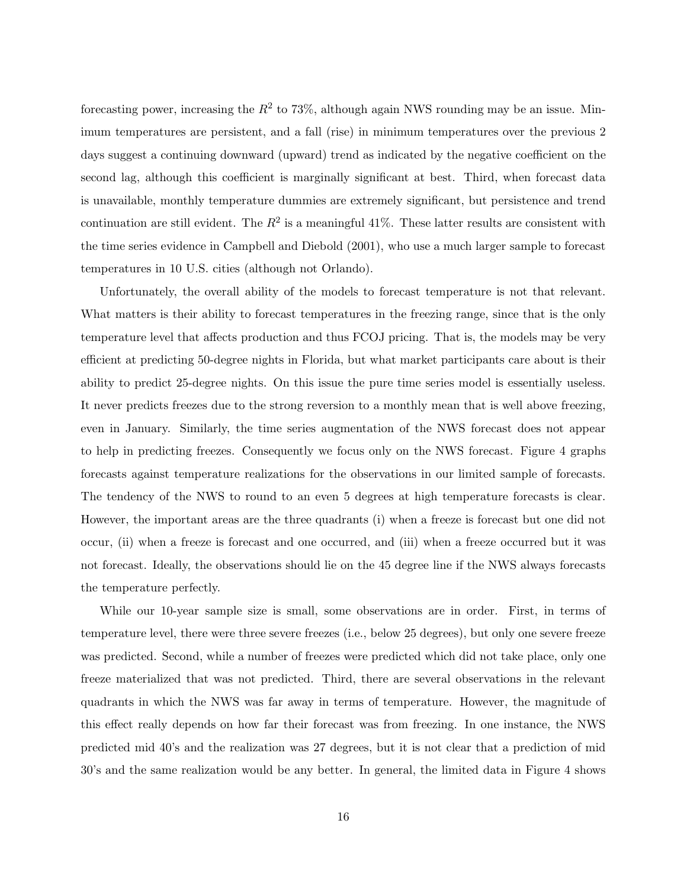forecasting power, increasing the  $R^2$  to 73%, although again NWS rounding may be an issue. Minimum temperatures are persistent, and a fall (rise) in minimum temperatures over the previous 2 days suggest a continuing downward (upward) trend as indicated by the negative coefficient on the second lag, although this coefficient is marginally significant at best. Third, when forecast data is unavailable, monthly temperature dummies are extremely significant, but persistence and trend continuation are still evident. The  $R^2$  is a meaningful 41%. These latter results are consistent with the time series evidence in Campbell and Diebold (2001), who use a much larger sample to forecast temperatures in 10 U.S. cities (although not Orlando).

Unfortunately, the overall ability of the models to forecast temperature is not that relevant. What matters is their ability to forecast temperatures in the freezing range, since that is the only temperature level that affects production and thus FCOJ pricing. That is, the models may be very efficient at predicting 50-degree nights in Florida, but what market participants care about is their ability to predict 25-degree nights. On this issue the pure time series model is essentially useless. It never predicts freezes due to the strong reversion to a monthly mean that is well above freezing, even in January. Similarly, the time series augmentation of the NWS forecast does not appear to help in predicting freezes. Consequently we focus only on the NWS forecast. Figure 4 graphs forecasts against temperature realizations for the observations in our limited sample of forecasts. The tendency of the NWS to round to an even 5 degrees at high temperature forecasts is clear. However, the important areas are the three quadrants (i) when a freeze is forecast but one did not occur, (ii) when a freeze is forecast and one occurred, and (iii) when a freeze occurred but it was not forecast. Ideally, the observations should lie on the 45 degree line if the NWS always forecasts the temperature perfectly.

While our 10-year sample size is small, some observations are in order. First, in terms of temperature level, there were three severe freezes (i.e., below 25 degrees), but only one severe freeze was predicted. Second, while a number of freezes were predicted which did not take place, only one freeze materialized that was not predicted. Third, there are several observations in the relevant quadrants in which the NWS was far away in terms of temperature. However, the magnitude of this effect really depends on how far their forecast was from freezing. In one instance, the NWS predicted mid 40's and the realization was 27 degrees, but it is not clear that a prediction of mid 30's and the same realization would be any better. In general, the limited data in Figure 4 shows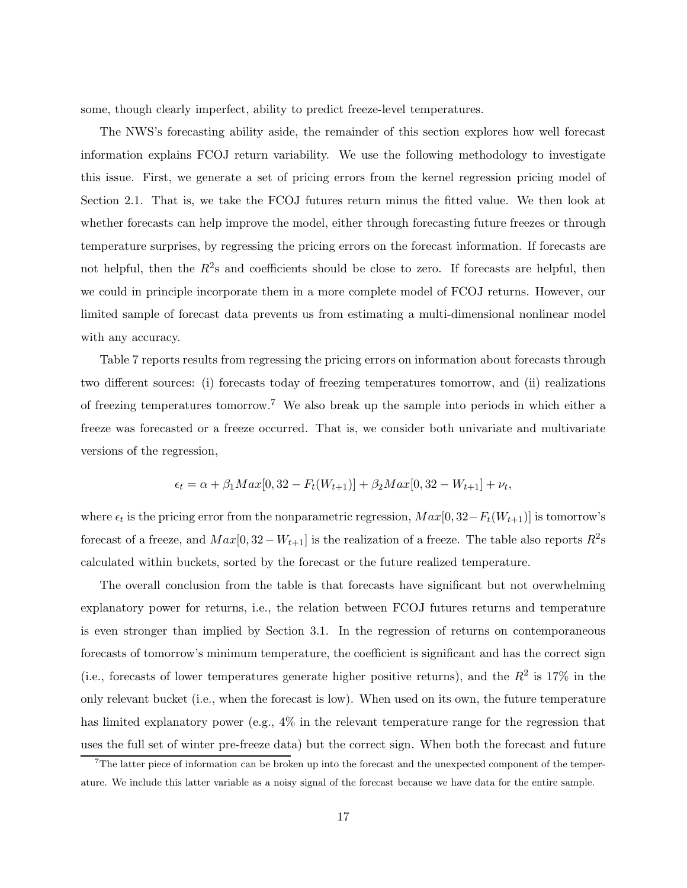some, though clearly imperfect, ability to predict freeze-level temperatures.

The NWS's forecasting ability aside, the remainder of this section explores how well forecast information explains FCOJ return variability. We use the following methodology to investigate this issue. First, we generate a set of pricing errors from the kernel regression pricing model of Section 2.1. That is, we take the FCOJ futures return minus the fitted value. We then look at whether forecasts can help improve the model, either through forecasting future freezes or through temperature surprises, by regressing the pricing errors on the forecast information. If forecasts are not helpful, then the  $R^2$ s and coefficients should be close to zero. If forecasts are helpful, then we could in principle incorporate them in a more complete model of FCOJ returns. However, our limited sample of forecast data prevents us from estimating a multi-dimensional nonlinear model with any accuracy.

Table 7 reports results from regressing the pricing errors on information about forecasts through two different sources: (i) forecasts today of freezing temperatures tomorrow, and (ii) realizations of freezing temperatures tomorrow.<sup>7</sup> We also break up the sample into periods in which either a freeze was forecasted or a freeze occurred. That is, we consider both univariate and multivariate versions of the regression,

$$
\epsilon_t = \alpha + \beta_1 Max[0, 32 - F_t(W_{t+1})] + \beta_2 Max[0, 32 - W_{t+1}] + \nu_t,
$$

where  $\epsilon_t$  is the pricing error from the nonparametric regression,  $Max[0, 32 - F_t(W_{t+1})]$  is tomorrow's forecast of a freeze, and  $Max[0, 32 - W_{t+1}]$  is the realization of a freeze. The table also reports  $R^2$ s calculated within buckets, sorted by the forecast or the future realized temperature.

The overall conclusion from the table is that forecasts have significant but not overwhelming explanatory power for returns, i.e., the relation between FCOJ futures returns and temperature is even stronger than implied by Section 3.1. In the regression of returns on contemporaneous forecasts of tomorrow's minimum temperature, the coefficient is significant and has the correct sign (i.e., forecasts of lower temperatures generate higher positive returns), and the  $R^2$  is 17% in the only relevant bucket (i.e., when the forecast is low). When used on its own, the future temperature has limited explanatory power (e.g.,  $4\%$  in the relevant temperature range for the regression that uses the full set of winter pre-freeze data) but the correct sign. When both the forecast and future

 $7\text{The latter piece of information can be broken up into the forecast and the unexpected component of the temper$ ature. We include this latter variable as a noisy signal of the forecast because we have data for the entire sample.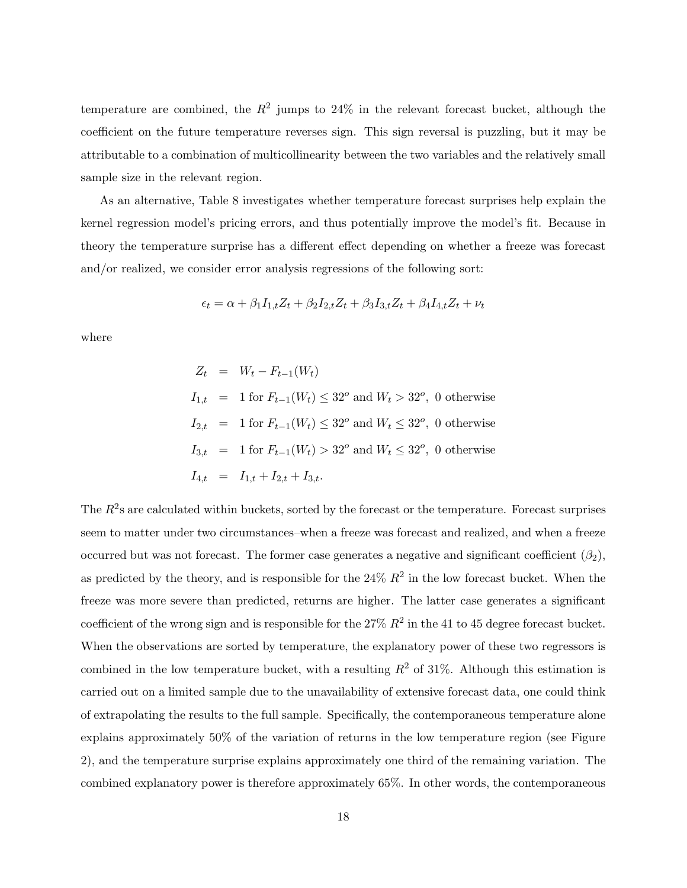temperature are combined, the  $R^2$  jumps to 24% in the relevant forecast bucket, although the coefficient on the future temperature reverses sign. This sign reversal is puzzling, but it may be attributable to a combination of multicollinearity between the two variables and the relatively small sample size in the relevant region.

As an alternative, Table 8 investigates whether temperature forecast surprises help explain the kernel regression model's pricing errors, and thus potentially improve the model's fit. Because in theory the temperature surprise has a different effect depending on whether a freeze was forecast and/or realized, we consider error analysis regressions of the following sort:

$$
\epsilon_t = \alpha + \beta_1 I_{1,t} Z_t + \beta_2 I_{2,t} Z_t + \beta_3 I_{3,t} Z_t + \beta_4 I_{4,t} Z_t + \nu_t
$$

where

$$
Z_t = W_t - F_{t-1}(W_t)
$$
  
\n
$$
I_{1,t} = 1 \text{ for } F_{t-1}(W_t) \le 32^o \text{ and } W_t > 32^o, \text{ 0 otherwise}
$$
  
\n
$$
I_{2,t} = 1 \text{ for } F_{t-1}(W_t) \le 32^o \text{ and } W_t \le 32^o, \text{ 0 otherwise}
$$
  
\n
$$
I_{3,t} = 1 \text{ for } F_{t-1}(W_t) > 32^o \text{ and } W_t \le 32^o, \text{ 0 otherwise}
$$
  
\n
$$
I_{4,t} = I_{1,t} + I_{2,t} + I_{3,t}.
$$

The  $R^2$ s are calculated within buckets, sorted by the forecast or the temperature. Forecast surprises seem to matter under two circumstances–when a freeze was forecast and realized, and when a freeze occurred but was not forecast. The former case generates a negative and significant coefficient  $(\beta_2)$ , as predicted by the theory, and is responsible for the  $24\% R^2$  in the low forecast bucket. When the freeze was more severe than predicted, returns are higher. The latter case generates a significant coefficient of the wrong sign and is responsible for the 27%  $R^2$  in the 41 to 45 degree forecast bucket. When the observations are sorted by temperature, the explanatory power of these two regressors is combined in the low temperature bucket, with a resulting  $R^2$  of 31%. Although this estimation is carried out on a limited sample due to the unavailability of extensive forecast data, one could think of extrapolating the results to the full sample. Specifically, the contemporaneous temperature alone explains approximately 50% of the variation of returns in the low temperature region (see Figure 2), and the temperature surprise explains approximately one third of the remaining variation. The combined explanatory power is therefore approximately 65%. In other words, the contemporaneous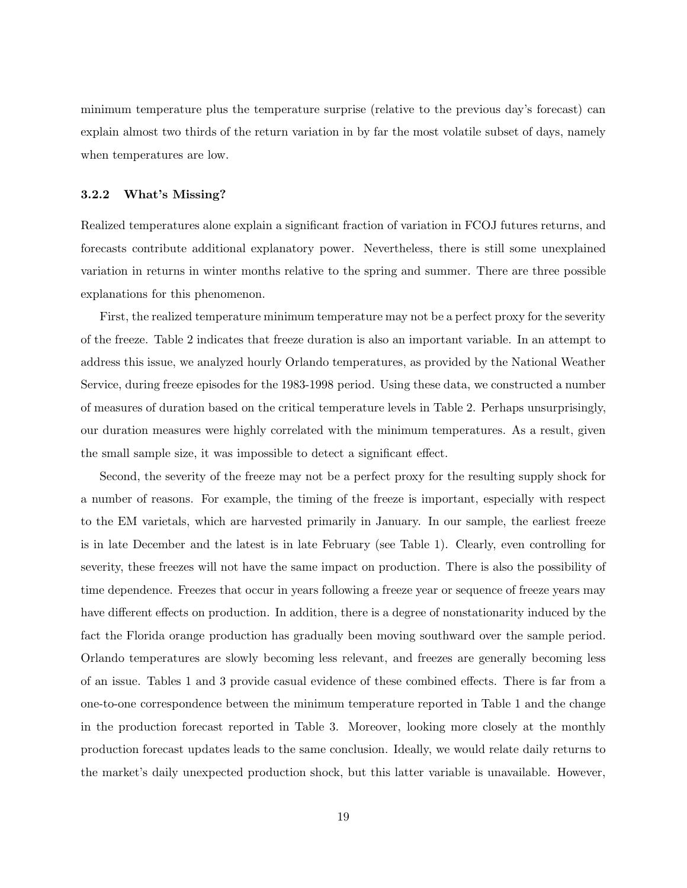minimum temperature plus the temperature surprise (relative to the previous day's forecast) can explain almost two thirds of the return variation in by far the most volatile subset of days, namely when temperatures are low.

#### $3.2.2$ **3.2.2 What's Missing?**

Realized temperatures alone explain a significant fraction of variation in FCOJ futures returns, and forecasts contribute additional explanatory power. Nevertheless, there is still some unexplained variation in returns in winter months relative to the spring and summer. There are three possible explanations for this phenomenon.

First, the realized temperature minimum temperature may not be a perfect proxy for the severity of the freeze. Table 2 indicates that freeze duration is also an important variable. In an attempt to address this issue, we analyzed hourly Orlando temperatures, as provided by the National Weather Service, during freeze episodes for the 1983-1998 period. Using these data, we constructed a number of measures of duration based on the critical temperature levels in Table 2. Perhaps unsurprisingly, our duration measures were highly correlated with the minimum temperatures. As a result, given the small sample size, it was impossible to detect a significant effect.

Second, the severity of the freeze may not be a perfect proxy for the resulting supply shock for a number of reasons. For example, the timing of the freeze is important, especially with respect to the EM varietals, which are harvested primarily in January. In our sample, the earliest freeze is in late December and the latest is in late February (see Table 1). Clearly, even controlling for severity, these freezes will not have the same impact on production. There is also the possibility of time dependence. Freezes that occur in years following a freeze year or sequence of freeze years may have different effects on production. In addition, there is a degree of nonstationarity induced by the fact the Florida orange production has gradually been moving southward over the sample period. Orlando temperatures are slowly becoming less relevant, and freezes are generally becoming less of an issue. Tables 1 and 3 provide casual evidence of these combined effects. There is far from a one-to-one correspondence between the minimum temperature reported in Table 1 and the change in the production forecast reported in Table 3. Moreover, looking more closely at the monthly production forecast updates leads to the same conclusion. Ideally, we would relate daily returns to the market's daily unexpected production shock, but this latter variable is unavailable. However,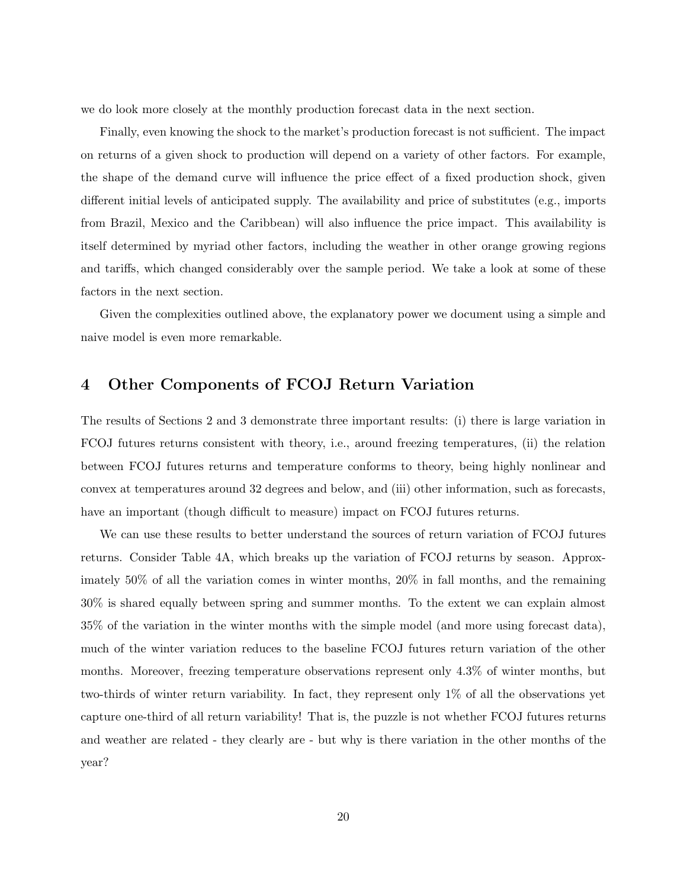we do look more closely at the monthly production forecast data in the next section.

Finally, even knowing the shock to the market's production forecast is not sufficient. The impact on returns of a given shock to production will depend on a variety of other factors. For example, the shape of the demand curve will influence the price effect of a fixed production shock, given different initial levels of anticipated supply. The availability and price of substitutes (e.g., imports from Brazil, Mexico and the Caribbean) will also influence the price impact. This availability is itself determined by myriad other factors, including the weather in other orange growing regions and tariffs, which changed considerably over the sample period. We take a look at some of these factors in the next section.

Given the complexities outlined above, the explanatory power we document using a simple and naive model is even more remarkable.

## **4 Other Components of FCOJ Return Variation**

The results of Sections 2 and 3 demonstrate three important results: (i) there is large variation in FCOJ futures returns consistent with theory, i.e., around freezing temperatures, (ii) the relation between FCOJ futures returns and temperature conforms to theory, being highly nonlinear and convex at temperatures around 32 degrees and below, and (iii) other information, such as forecasts, have an important (though difficult to measure) impact on FCOJ futures returns.

We can use these results to better understand the sources of return variation of FCOJ futures returns. Consider Table 4A, which breaks up the variation of FCOJ returns by season. Approximately 50% of all the variation comes in winter months, 20% in fall months, and the remaining 30% is shared equally between spring and summer months. To the extent we can explain almost 35% of the variation in the winter months with the simple model (and more using forecast data), much of the winter variation reduces to the baseline FCOJ futures return variation of the other months. Moreover, freezing temperature observations represent only 4.3% of winter months, but two-thirds of winter return variability. In fact, they represent only 1% of all the observations yet capture one-third of all return variability! That is, the puzzle is not whether FCOJ futures returns and weather are related - they clearly are - but why is there variation in the other months of the year?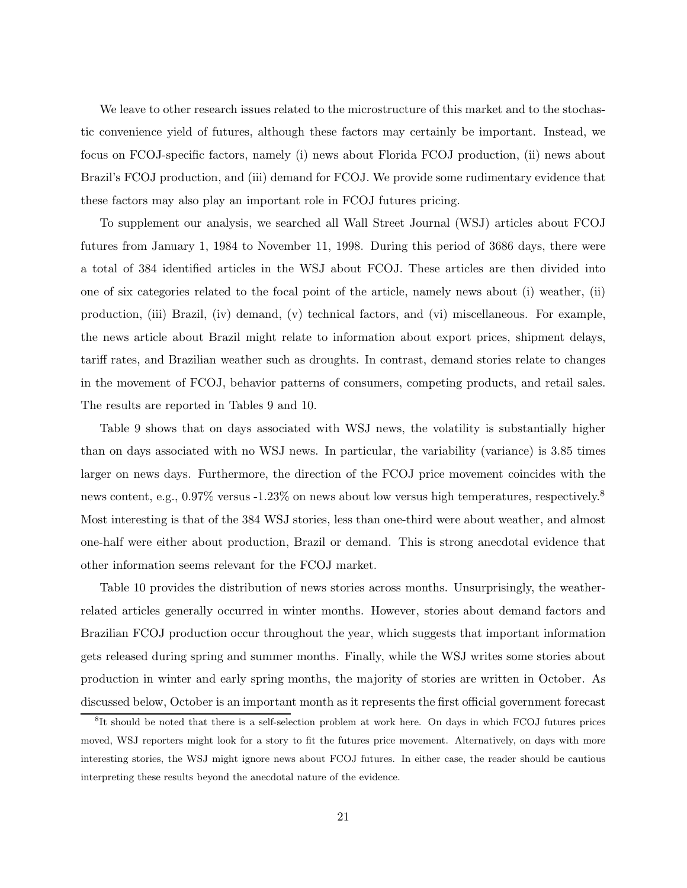We leave to other research issues related to the microstructure of this market and to the stochastic convenience yield of futures, although these factors may certainly be important. Instead, we focus on FCOJ-specific factors, namely (i) news about Florida FCOJ production, (ii) news about Brazil's FCOJ production, and (iii) demand for FCOJ. We provide some rudimentary evidence that these factors may also play an important role in FCOJ futures pricing.

To supplement our analysis, we searched all Wall Street Journal (WSJ) articles about FCOJ futures from January 1, 1984 to November 11, 1998. During this period of 3686 days, there were a total of 384 identified articles in the WSJ about FCOJ. These articles are then divided into one of six categories related to the focal point of the article, namely news about (i) weather, (ii) production, (iii) Brazil, (iv) demand, (v) technical factors, and (vi) miscellaneous. For example, the news article about Brazil might relate to information about export prices, shipment delays, tariff rates, and Brazilian weather such as droughts. In contrast, demand stories relate to changes in the movement of FCOJ, behavior patterns of consumers, competing products, and retail sales. The results are reported in Tables 9 and 10.

Table 9 shows that on days associated with WSJ news, the volatility is substantially higher than on days associated with no WSJ news. In particular, the variability (variance) is 3.85 times larger on news days. Furthermore, the direction of the FCOJ price movement coincides with the news content, e.g., 0.97% versus -1.23% on news about low versus high temperatures, respectively.<sup>8</sup> Most interesting is that of the 384 WSJ stories, less than one-third were about weather, and almost one-half were either about production, Brazil or demand. This is strong anecdotal evidence that other information seems relevant for the FCOJ market.

Table 10 provides the distribution of news stories across months. Unsurprisingly, the weatherrelated articles generally occurred in winter months. However, stories about demand factors and Brazilian FCOJ production occur throughout the year, which suggests that important information gets released during spring and summer months. Finally, while the WSJ writes some stories about production in winter and early spring months, the majority of stories are written in October. As discussed below, October is an important month as it represents the first official government forecast

<sup>&</sup>lt;sup>8</sup>It should be noted that there is a self-selection problem at work here. On days in which FCOJ futures prices moved, WSJ reporters might look for a story to fit the futures price movement. Alternatively, on days with more interesting stories, the WSJ might ignore news about FCOJ futures. In either case, the reader should be cautious interpreting these results beyond the anecdotal nature of the evidence.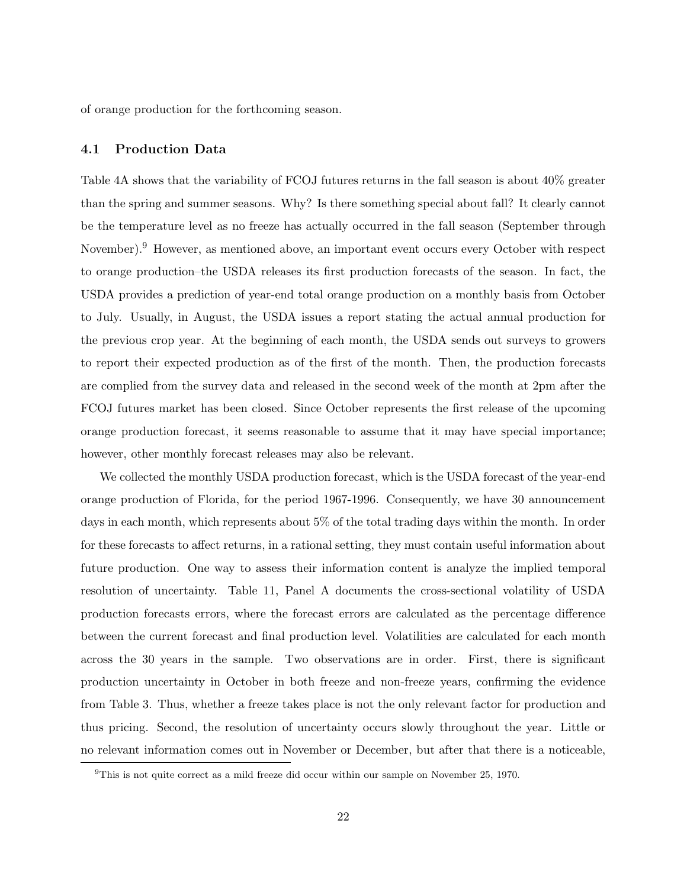of orange production for the forthcoming season.

#### **4.1 Production Data**

Table 4A shows that the variability of FCOJ futures returns in the fall season is about 40% greater than the spring and summer seasons. Why? Is there something special about fall? It clearly cannot be the temperature level as no freeze has actually occurred in the fall season (September through November).<sup>9</sup> However, as mentioned above, an important event occurs every October with respect to orange production–the USDA releases its first production forecasts of the season. In fact, the USDA provides a prediction of year-end total orange production on a monthly basis from October to July. Usually, in August, the USDA issues a report stating the actual annual production for the previous crop year. At the beginning of each month, the USDA sends out surveys to growers to report their expected production as of the first of the month. Then, the production forecasts are complied from the survey data and released in the second week of the month at 2pm after the FCOJ futures market has been closed. Since October represents the first release of the upcoming orange production forecast, it seems reasonable to assume that it may have special importance; however, other monthly forecast releases may also be relevant.

We collected the monthly USDA production forecast, which is the USDA forecast of the year-end orange production of Florida, for the period 1967-1996. Consequently, we have 30 announcement days in each month, which represents about 5% of the total trading days within the month. In order for these forecasts to affect returns, in a rational setting, they must contain useful information about future production. One way to assess their information content is analyze the implied temporal resolution of uncertainty. Table 11, Panel A documents the cross-sectional volatility of USDA production forecasts errors, where the forecast errors are calculated as the percentage difference between the current forecast and final production level. Volatilities are calculated for each month across the 30 years in the sample. Two observations are in order. First, there is significant production uncertainty in October in both freeze and non-freeze years, confirming the evidence from Table 3. Thus, whether a freeze takes place is not the only relevant factor for production and thus pricing. Second, the resolution of uncertainty occurs slowly throughout the year. Little or no relevant information comes out in November or December, but after that there is a noticeable,

 $9$ This is not quite correct as a mild freeze did occur within our sample on November 25, 1970.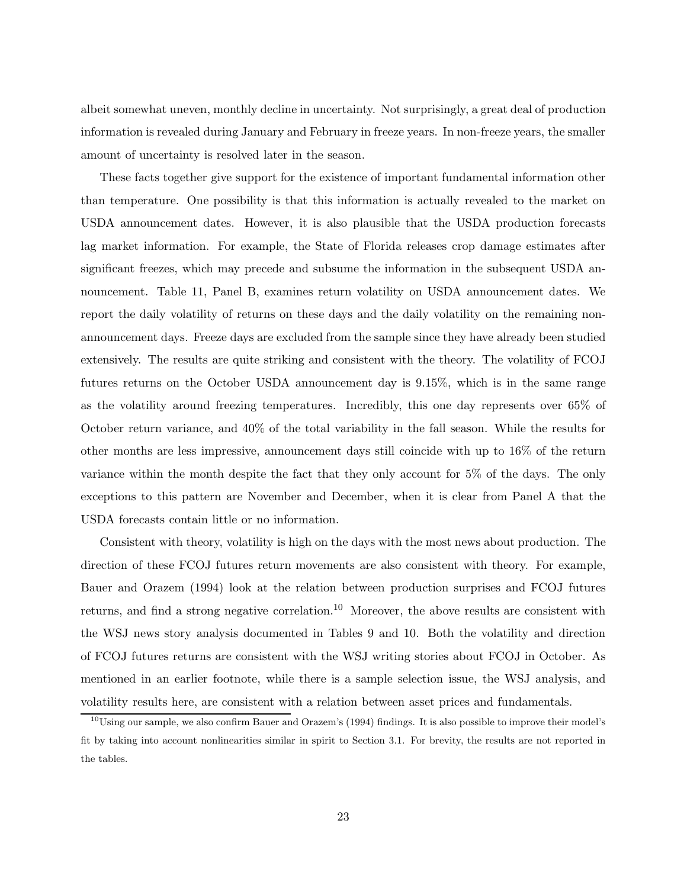albeit somewhat uneven, monthly decline in uncertainty. Not surprisingly, a great deal of production information is revealed during January and February in freeze years. In non-freeze years, the smaller amount of uncertainty is resolved later in the season.

These facts together give support for the existence of important fundamental information other than temperature. One possibility is that this information is actually revealed to the market on USDA announcement dates. However, it is also plausible that the USDA production forecasts lag market information. For example, the State of Florida releases crop damage estimates after significant freezes, which may precede and subsume the information in the subsequent USDA announcement. Table 11, Panel B, examines return volatility on USDA announcement dates. We report the daily volatility of returns on these days and the daily volatility on the remaining nonannouncement days. Freeze days are excluded from the sample since they have already been studied extensively. The results are quite striking and consistent with the theory. The volatility of FCOJ futures returns on the October USDA announcement day is 9.15%, which is in the same range as the volatility around freezing temperatures. Incredibly, this one day represents over 65% of October return variance, and 40% of the total variability in the fall season. While the results for other months are less impressive, announcement days still coincide with up to 16% of the return variance within the month despite the fact that they only account for 5% of the days. The only exceptions to this pattern are November and December, when it is clear from Panel A that the USDA forecasts contain little or no information.

Consistent with theory, volatility is high on the days with the most news about production. The direction of these FCOJ futures return movements are also consistent with theory. For example, Bauer and Orazem (1994) look at the relation between production surprises and FCOJ futures returns, and find a strong negative correlation.<sup>10</sup> Moreover, the above results are consistent with the WSJ news story analysis documented in Tables 9 and 10. Both the volatility and direction of FCOJ futures returns are consistent with the WSJ writing stories about FCOJ in October. As mentioned in an earlier footnote, while there is a sample selection issue, the WSJ analysis, and volatility results here, are consistent with a relation between asset prices and fundamentals.

 $10$ Using our sample, we also confirm Bauer and Orazem's (1994) findings. It is also possible to improve their model's fit by taking into account nonlinearities similar in spirit to Section 3.1. For brevity, the results are not reported in the tables.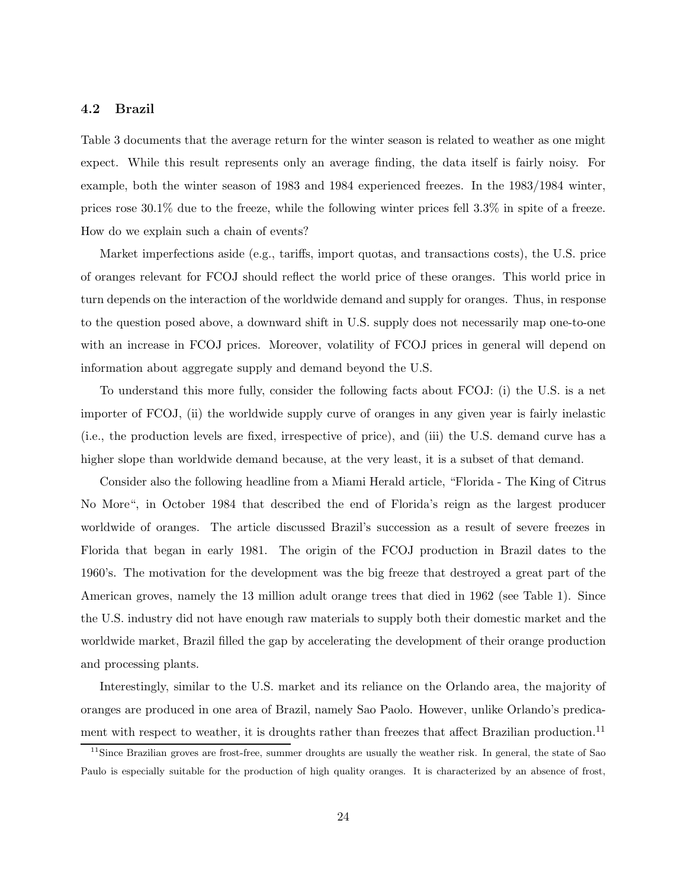## **4.2 Brazil**

Table 3 documents that the average return for the winter season is related to weather as one might expect. While this result represents only an average finding, the data itself is fairly noisy. For example, both the winter season of 1983 and 1984 experienced freezes. In the 1983/1984 winter, prices rose 30.1% due to the freeze, while the following winter prices fell 3.3% in spite of a freeze. How do we explain such a chain of events?

Market imperfections aside (e.g., tariffs, import quotas, and transactions costs), the U.S. price of oranges relevant for FCOJ should reflect the world price of these oranges. This world price in turn depends on the interaction of the worldwide demand and supply for oranges. Thus, in response to the question posed above, a downward shift in U.S. supply does not necessarily map one-to-one with an increase in FCOJ prices. Moreover, volatility of FCOJ prices in general will depend on information about aggregate supply and demand beyond the U.S.

To understand this more fully, consider the following facts about FCOJ: (i) the U.S. is a net importer of FCOJ, (ii) the worldwide supply curve of oranges in any given year is fairly inelastic (i.e., the production levels are fixed, irrespective of price), and (iii) the U.S. demand curve has a higher slope than worldwide demand because, at the very least, it is a subset of that demand.

Consider also the following headline from a Miami Herald article, "Florida - The King of Citrus No More", in October 1984 that described the end of Florida's reign as the largest producer worldwide of oranges. The article discussed Brazil's succession as a result of severe freezes in Florida that began in early 1981. The origin of the FCOJ production in Brazil dates to the 1960's. The motivation for the development was the big freeze that destroyed a great part of the American groves, namely the 13 million adult orange trees that died in 1962 (see Table 1). Since the U.S. industry did not have enough raw materials to supply both their domestic market and the worldwide market, Brazil filled the gap by accelerating the development of their orange production and processing plants.

Interestingly, similar to the U.S. market and its reliance on the Orlando area, the majority of oranges are produced in one area of Brazil, namely Sao Paolo. However, unlike Orlando's predicament with respect to weather, it is droughts rather than freezes that affect Brazilian production.<sup>11</sup>

<sup>&</sup>lt;sup>11</sup>Since Brazilian groves are frost-free, summer droughts are usually the weather risk. In general, the state of Sao Paulo is especially suitable for the production of high quality oranges. It is characterized by an absence of frost,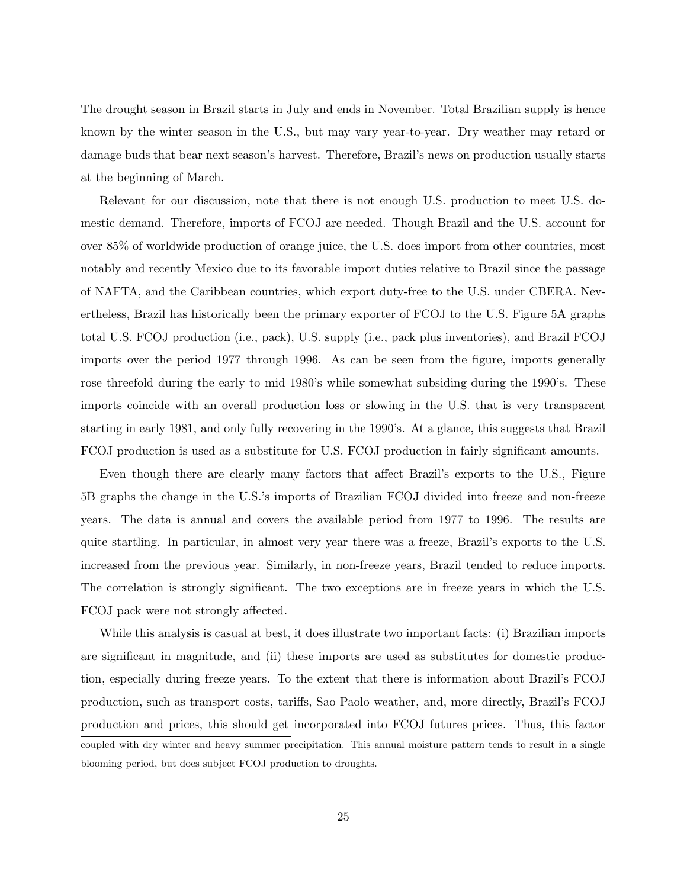The drought season in Brazil starts in July and ends in November. Total Brazilian supply is hence known by the winter season in the U.S., but may vary year-to-year. Dry weather may retard or damage buds that bear next season's harvest. Therefore, Brazil's news on production usually starts at the beginning of March.

Relevant for our discussion, note that there is not enough U.S. production to meet U.S. domestic demand. Therefore, imports of FCOJ are needed. Though Brazil and the U.S. account for over 85% of worldwide production of orange juice, the U.S. does import from other countries, most notably and recently Mexico due to its favorable import duties relative to Brazil since the passage of NAFTA, and the Caribbean countries, which export duty-free to the U.S. under CBERA. Nevertheless, Brazil has historically been the primary exporter of FCOJ to the U.S. Figure 5A graphs total U.S. FCOJ production (i.e., pack), U.S. supply (i.e., pack plus inventories), and Brazil FCOJ imports over the period 1977 through 1996. As can be seen from the figure, imports generally rose threefold during the early to mid 1980's while somewhat subsiding during the 1990's. These imports coincide with an overall production loss or slowing in the U.S. that is very transparent starting in early 1981, and only fully recovering in the 1990's. At a glance, this suggests that Brazil FCOJ production is used as a substitute for U.S. FCOJ production in fairly significant amounts.

Even though there are clearly many factors that affect Brazil's exports to the U.S., Figure 5B graphs the change in the U.S.'s imports of Brazilian FCOJ divided into freeze and non-freeze years. The data is annual and covers the available period from 1977 to 1996. The results are quite startling. In particular, in almost very year there was a freeze, Brazil's exports to the U.S. increased from the previous year. Similarly, in non-freeze years, Brazil tended to reduce imports. The correlation is strongly significant. The two exceptions are in freeze years in which the U.S. FCOJ pack were not strongly affected.

While this analysis is casual at best, it does illustrate two important facts: (i) Brazilian imports are significant in magnitude, and (ii) these imports are used as substitutes for domestic production, especially during freeze years. To the extent that there is information about Brazil's FCOJ production, such as transport costs, tariffs, Sao Paolo weather, and, more directly, Brazil's FCOJ production and prices, this should get incorporated into FCOJ futures prices. Thus, this factor coupled with dry winter and heavy summer precipitation. This annual moisture pattern tends to result in a single blooming period, but does subject FCOJ production to droughts.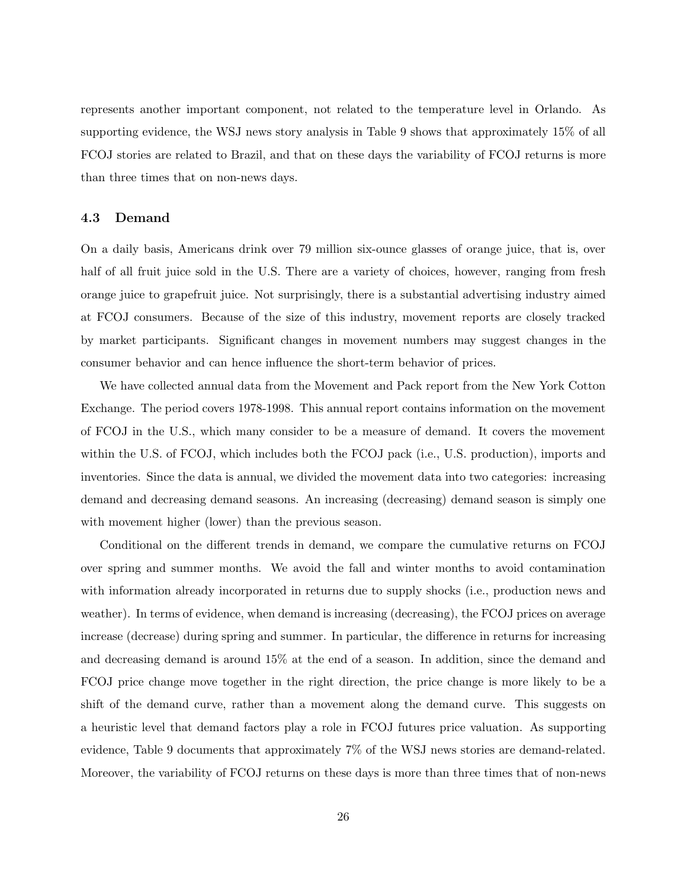represents another important component, not related to the temperature level in Orlando. As supporting evidence, the WSJ news story analysis in Table 9 shows that approximately 15% of all FCOJ stories are related to Brazil, and that on these days the variability of FCOJ returns is more than three times that on non-news days.

#### **4.3 Demand**

On a daily basis, Americans drink over 79 million six-ounce glasses of orange juice, that is, over half of all fruit juice sold in the U.S. There are a variety of choices, however, ranging from fresh orange juice to grapefruit juice. Not surprisingly, there is a substantial advertising industry aimed at FCOJ consumers. Because of the size of this industry, movement reports are closely tracked by market participants. Significant changes in movement numbers may suggest changes in the consumer behavior and can hence influence the short-term behavior of prices.

We have collected annual data from the Movement and Pack report from the New York Cotton Exchange. The period covers 1978-1998. This annual report contains information on the movement of FCOJ in the U.S., which many consider to be a measure of demand. It covers the movement within the U.S. of FCOJ, which includes both the FCOJ pack (i.e., U.S. production), imports and inventories. Since the data is annual, we divided the movement data into two categories: increasing demand and decreasing demand seasons. An increasing (decreasing) demand season is simply one with movement higher (lower) than the previous season.

Conditional on the different trends in demand, we compare the cumulative returns on FCOJ over spring and summer months. We avoid the fall and winter months to avoid contamination with information already incorporated in returns due to supply shocks (i.e., production news and weather). In terms of evidence, when demand is increasing (decreasing), the FCOJ prices on average increase (decrease) during spring and summer. In particular, the difference in returns for increasing and decreasing demand is around 15% at the end of a season. In addition, since the demand and FCOJ price change move together in the right direction, the price change is more likely to be a shift of the demand curve, rather than a movement along the demand curve. This suggests on a heuristic level that demand factors play a role in FCOJ futures price valuation. As supporting evidence, Table 9 documents that approximately 7% of the WSJ news stories are demand-related. Moreover, the variability of FCOJ returns on these days is more than three times that of non-news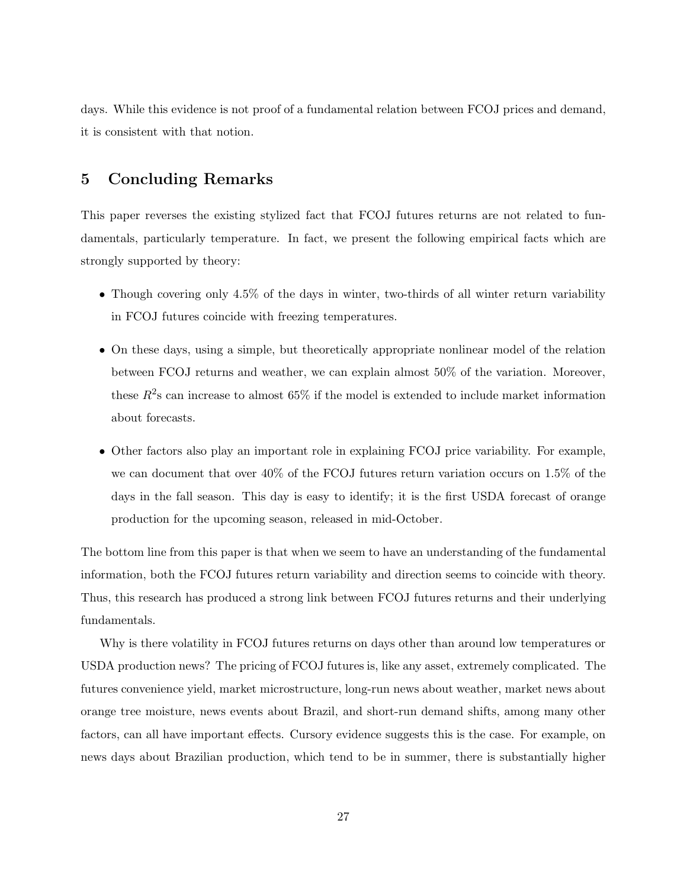days. While this evidence is not proof of a fundamental relation between FCOJ prices and demand, it is consistent with that notion.

## **5 Concluding Remarks**

This paper reverses the existing stylized fact that FCOJ futures returns are not related to fundamentals, particularly temperature. In fact, we present the following empirical facts which are strongly supported by theory:

- Though covering only 4.5% of the days in winter, two-thirds of all winter return variability in FCOJ futures coincide with freezing temperatures.
- On these days, using a simple, but theoretically appropriate nonlinear model of the relation between FCOJ returns and weather, we can explain almost 50% of the variation. Moreover, these  $R^2$ s can increase to almost 65% if the model is extended to include market information about forecasts.
- Other factors also play an important role in explaining FCOJ price variability. For example, we can document that over 40% of the FCOJ futures return variation occurs on 1.5% of the days in the fall season. This day is easy to identify; it is the first USDA forecast of orange production for the upcoming season, released in mid-October.

The bottom line from this paper is that when we seem to have an understanding of the fundamental information, both the FCOJ futures return variability and direction seems to coincide with theory. Thus, this research has produced a strong link between FCOJ futures returns and their underlying fundamentals.

Why is there volatility in FCOJ futures returns on days other than around low temperatures or USDA production news? The pricing of FCOJ futures is, like any asset, extremely complicated. The futures convenience yield, market microstructure, long-run news about weather, market news about orange tree moisture, news events about Brazil, and short-run demand shifts, among many other factors, can all have important effects. Cursory evidence suggests this is the case. For example, on news days about Brazilian production, which tend to be in summer, there is substantially higher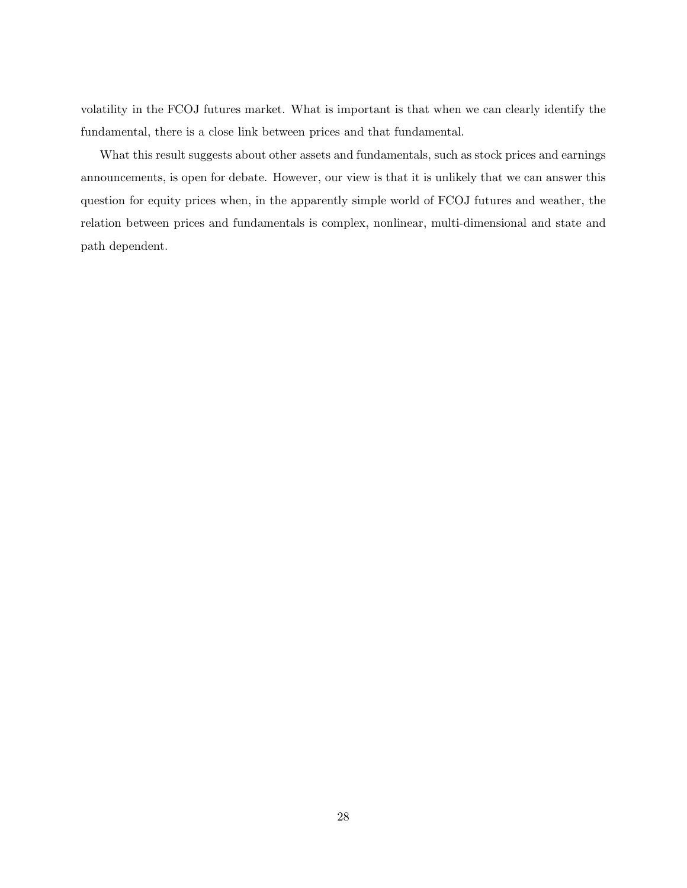volatility in the FCOJ futures market. What is important is that when we can clearly identify the fundamental, there is a close link between prices and that fundamental.

What this result suggests about other assets and fundamentals, such as stock prices and earnings announcements, is open for debate. However, our view is that it is unlikely that we can answer this question for equity prices when, in the apparently simple world of FCOJ futures and weather, the relation between prices and fundamentals is complex, nonlinear, multi-dimensional and state and path dependent.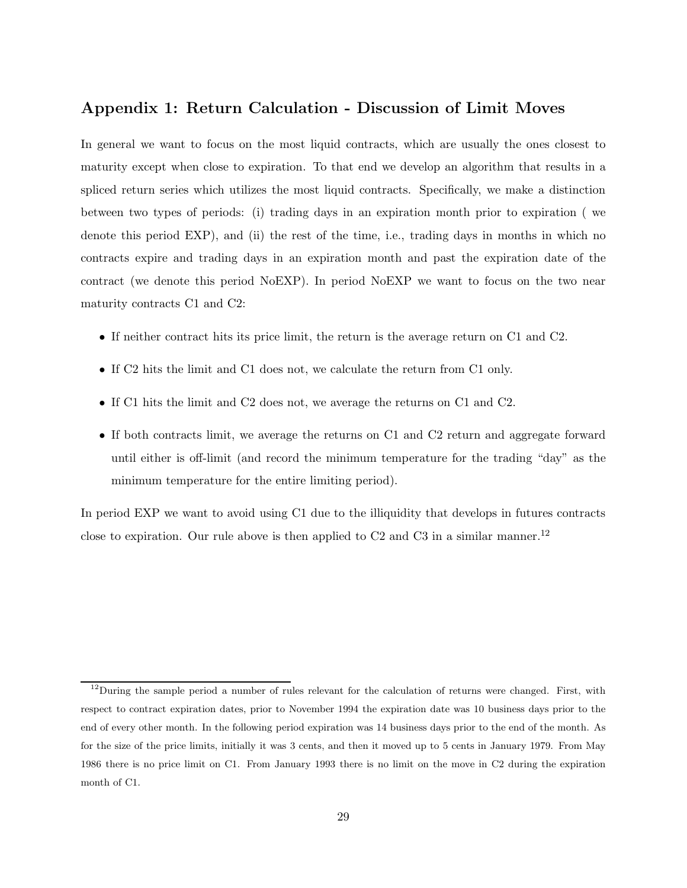## **Appendix 1: Return Calculation - Discussion of Limit Moves**

In general we want to focus on the most liquid contracts, which are usually the ones closest to maturity except when close to expiration. To that end we develop an algorithm that results in a spliced return series which utilizes the most liquid contracts. Specifically, we make a distinction between two types of periods: (i) trading days in an expiration month prior to expiration ( we denote this period EXP), and (ii) the rest of the time, i.e., trading days in months in which no contracts expire and trading days in an expiration month and past the expiration date of the contract (we denote this period NoEXP). In period NoEXP we want to focus on the two near maturity contracts C1 and C2:

- If neither contract hits its price limit, the return is the average return on C1 and C2.
- If C2 hits the limit and C1 does not, we calculate the return from C1 only.
- If C1 hits the limit and C2 does not, we average the returns on C1 and C2.
- If both contracts limit, we average the returns on C1 and C2 return and aggregate forward until either is off-limit (and record the minimum temperature for the trading "day" as the minimum temperature for the entire limiting period).

In period EXP we want to avoid using C1 due to the illiquidity that develops in futures contracts close to expiration. Our rule above is then applied to  $C2$  and  $C3$  in a similar manner.<sup>12</sup>

 $12$ During the sample period a number of rules relevant for the calculation of returns were changed. First, with respect to contract expiration dates, prior to November 1994 the expiration date was 10 business days prior to the end of every other month. In the following period expiration was 14 business days prior to the end of the month. As for the size of the price limits, initially it was 3 cents, and then it moved up to 5 cents in January 1979. From May 1986 there is no price limit on C1. From January 1993 there is no limit on the move in C2 during the expiration month of C1.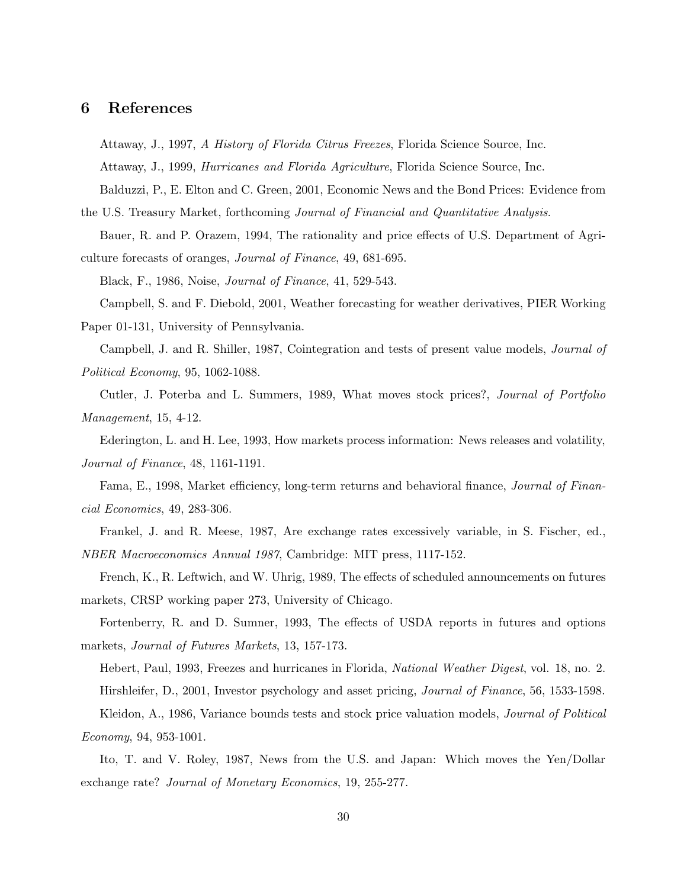## **6 References**

Attaway, J., 1997, *A History of Florida Citrus Freezes*, Florida Science Source, Inc. Attaway, J., 1999, *Hurricanes and Florida Agriculture*, Florida Science Source, Inc. Balduzzi, P., E. Elton and C. Green, 2001, Economic News and the Bond Prices: Evidence from

the U.S. Treasury Market, forthcoming *Journal of Financial and Quantitative Analysis*. Bauer, R. and P. Orazem, 1994, The rationality and price effects of U.S. Department of Agri-

culture forecasts of oranges, *Journal of Finance*, 49, 681-695.

Black, F., 1986, Noise, *Journal of Finance*, 41, 529-543.

Campbell, S. and F. Diebold, 2001, Weather forecasting for weather derivatives, PIER Working

Paper 01-131, University of Pennsylvania.

Campbell, J. and R. Shiller, 1987, Cointegration and tests of present value models, *Journal of Political Economy*, 95, 1062-1088.

Cutler, J. Poterba and L. Summers, 1989, What moves stock prices?, *Journal of Portfolio Management*, 15, 4-12.

Ederington, L. and H. Lee, 1993, How markets process information: News releases and volatility, *Journal of Finance*, 48, 1161-1191.

Fama, E., 1998, Market efficiency, long-term returns and behavioral finance, *Journal of Financial Economics*, 49, 283-306.

Frankel, J. and R. Meese, 1987, Are exchange rates excessively variable, in S. Fischer, ed., *NBER Macroeconomics Annual 1987*, Cambridge: MIT press, 1117-152.

French, K., R. Leftwich, and W. Uhrig, 1989, The effects of scheduled announcements on futures markets, CRSP working paper 273, University of Chicago.

Fortenberry, R. and D. Sumner, 1993, The effects of USDA reports in futures and options markets, *Journal of Futures Markets*, 13, 157-173.

Hebert, Paul, 1993, Freezes and hurricanes in Florida, *National Weather Digest*, vol. 18, no. 2. Hirshleifer, D., 2001, Investor psychology and asset pricing, *Journal of Finance*, 56, 1533-1598. Kleidon, A., 1986, Variance bounds tests and stock price valuation models, *Journal of Political Economy*, 94, 953-1001.

Ito, T. and V. Roley, 1987, News from the U.S. and Japan: Which moves the Yen/Dollar exchange rate? *Journal of Monetary Economics*, 19, 255-277.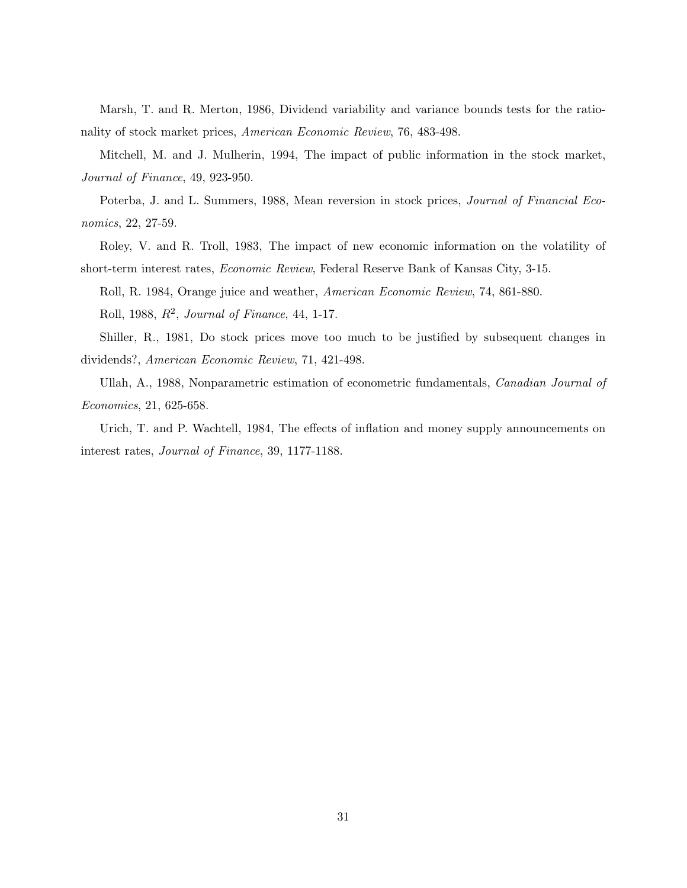Marsh, T. and R. Merton, 1986, Dividend variability and variance bounds tests for the rationality of stock market prices, *American Economic Review*, 76, 483-498.

Mitchell, M. and J. Mulherin, 1994, The impact of public information in the stock market, *Journal of Finance*, 49, 923-950.

Poterba, J. and L. Summers, 1988, Mean reversion in stock prices, *Journal of Financial Economics*, 22, 27-59.

Roley, V. and R. Troll, 1983, The impact of new economic information on the volatility of short-term interest rates, *Economic Review*, Federal Reserve Bank of Kansas City, 3-15.

Roll, R. 1984, Orange juice and weather, *American Economic Review*, 74, 861-880.

Roll, 1988, R2, *Journal of Finance*, 44, 1-17.

Shiller, R., 1981, Do stock prices move too much to be justified by subsequent changes in dividends?, *American Economic Review*, 71, 421-498.

Ullah, A., 1988, Nonparametric estimation of econometric fundamentals, *Canadian Journal of Economics*, 21, 625-658.

Urich, T. and P. Wachtell, 1984, The effects of inflation and money supply announcements on interest rates, *Journal of Finance*, 39, 1177-1188.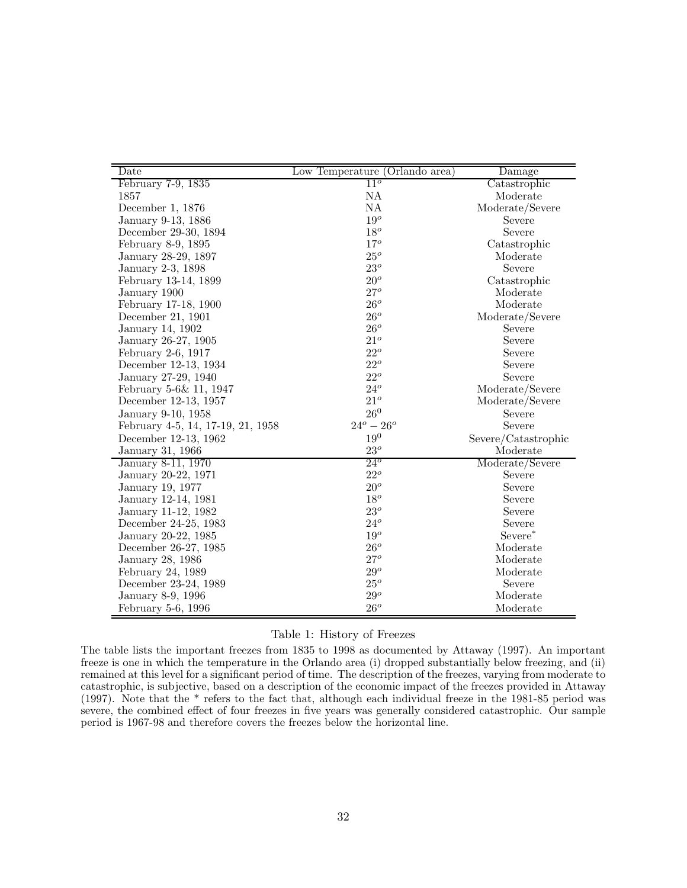| Date                              | Low Temperature (Orlando area) | Damage              |
|-----------------------------------|--------------------------------|---------------------|
| February 7-9, 1835                | $11^o$                         | Catastrophic        |
| 1857                              | NA                             | Moderate            |
| December 1, 1876                  | NA                             | Moderate/Severe     |
| January 9-13, 1886                | $19^o$                         | Severe              |
| December 29-30, 1894              | $18^o$                         | Severe              |
| February 8-9, 1895                | $17^o$                         | Catastrophic        |
| January 28-29, 1897               | $25^o$                         | Moderate            |
| January 2-3, 1898                 | $23^o\,$                       | Severe              |
| February 13-14, 1899              | $20^o$                         | Catastrophic        |
| January 1900                      | $27^o$                         | Moderate            |
| February 17-18, 1900              | $26^o$                         | Moderate            |
| December 21, 1901                 | $26^o$                         | Moderate/Severe     |
| January 14, 1902                  | $26^o$                         | Severe              |
| January 26-27, 1905               | $21^o$                         | Severe              |
| February 2-6, 1917                | $22^o$                         | Severe              |
| December 12-13, 1934              | $22^o$                         | Severe              |
| January 27-29, 1940               | $22^o$                         | Severe              |
| February 5-6& 11, 1947            | $24^o$                         | Moderate/Severe     |
| December 12-13, 1957              | $21^o$                         | Moderate/Severe     |
| January 9-10, 1958                | $26^0$                         | Severe              |
| February 4-5, 14, 17-19, 21, 1958 | $24^o - 26^o$                  | Severe              |
| December 12-13, 1962              | $19^0\,$                       | Severe/Catastrophic |
| January 31, 1966                  | $23^o$                         | Moderate            |
| January 8-11, 1970                | $24^{\circ}$                   | Moderate/Severe     |
| January 20-22, 1971               | $22^o$                         | Severe              |
| January 19, 1977                  | $20^o$                         | Severe              |
| January 12-14, 1981               | $18^o$                         | Severe              |
| January 11-12, 1982               | $23^o$                         | Severe              |
| December 24-25, 1983              | $24^o$                         | Severe              |
| January 20-22, 1985               | $19^o$                         | Severe*             |
| December 26-27, 1985              | $26^o$                         | Moderate            |
| January 28, 1986                  | $27^o$                         | Moderate            |
| February 24, 1989                 | $29^o$                         | Moderate            |
| December 23-24, 1989              | $25^o$                         | Severe              |
| January 8-9, 1996                 | $29^o$                         | Moderate            |
| February 5-6, 1996                | $26^o$                         | Moderate            |

## Table 1: History of Freezes

The table lists the important freezes from 1835 to 1998 as documented by Attaway (1997). An important freeze is one in which the temperature in the Orlando area (i) dropped substantially below freezing, and (ii) remained at this level for a significant period of time. The description of the freezes, varying from moderate to catastrophic, is subjective, based on a description of the economic impact of the freezes provided in Attaway (1997). Note that the \* refers to the fact that, although each individual freeze in the 1981-85 period was severe, the combined effect of four freezes in five years was generally considered catastrophic. Our sample period is 1967-98 and therefore covers the freezes below the horizontal line.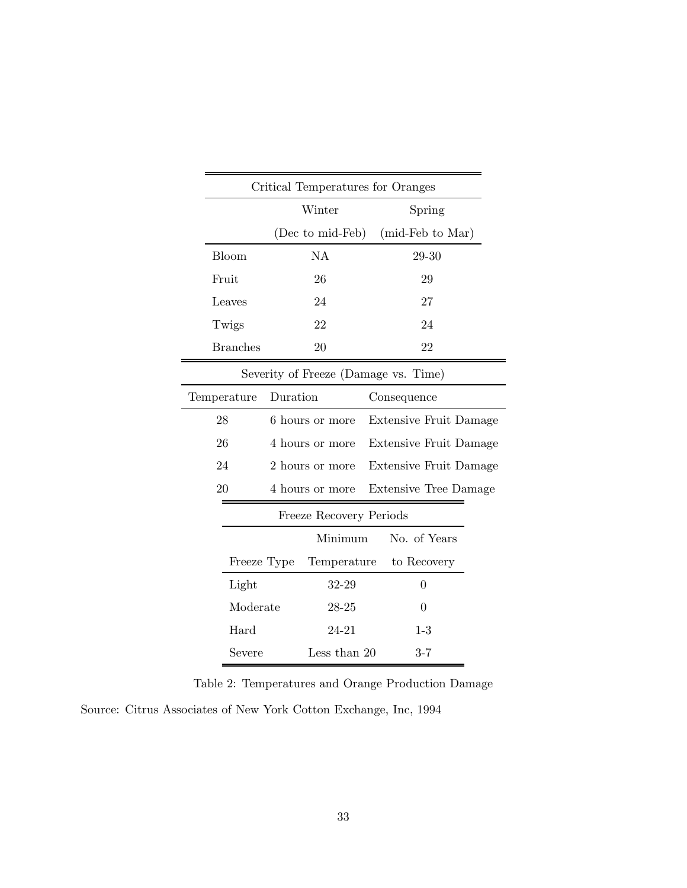|                                      |          | Critical Temperatures for Oranges |  |                              |  |  |  |  |  |
|--------------------------------------|----------|-----------------------------------|--|------------------------------|--|--|--|--|--|
|                                      |          | Winter                            |  | Spring                       |  |  |  |  |  |
|                                      |          | (Dec to mid-Feb)                  |  | (mid-Feb to Mar)             |  |  |  |  |  |
| Bloom                                |          | <b>NA</b>                         |  | 29-30                        |  |  |  |  |  |
| Fruit                                |          | 26                                |  | 29                           |  |  |  |  |  |
| Leaves                               |          | 24                                |  | 27                           |  |  |  |  |  |
| Twigs                                |          | 22                                |  | 24                           |  |  |  |  |  |
| <b>Branches</b>                      |          | 20                                |  | 22                           |  |  |  |  |  |
| Severity of Freeze (Damage vs. Time) |          |                                   |  |                              |  |  |  |  |  |
| Temperature                          | Duration |                                   |  | Consequence                  |  |  |  |  |  |
| 28                                   |          | 6 hours or more                   |  | Extensive Fruit Damage       |  |  |  |  |  |
| 26                                   |          | 4 hours or more                   |  | Extensive Fruit Damage       |  |  |  |  |  |
| 24                                   |          | 2 hours or more                   |  | Extensive Fruit Damage       |  |  |  |  |  |
| 20                                   |          | 4 hours or more                   |  | <b>Extensive Tree Damage</b> |  |  |  |  |  |
|                                      |          | Freeze Recovery Periods           |  |                              |  |  |  |  |  |
|                                      |          | Minimum                           |  | No. of Years                 |  |  |  |  |  |
| Freeze Type                          |          | Temperature                       |  | to Recovery                  |  |  |  |  |  |
| Light                                |          | 32-29                             |  | 0                            |  |  |  |  |  |
| Moderate                             |          | 28-25                             |  | $\overline{0}$               |  |  |  |  |  |
| Hard                                 |          | 24-21                             |  | $1-3$                        |  |  |  |  |  |
| Severe                               |          | Less than 20                      |  | $3 - 7$                      |  |  |  |  |  |

Table 2: Temperatures and Orange Production Damage Source: Citrus Associates of New York Cotton Exchange, Inc, 1994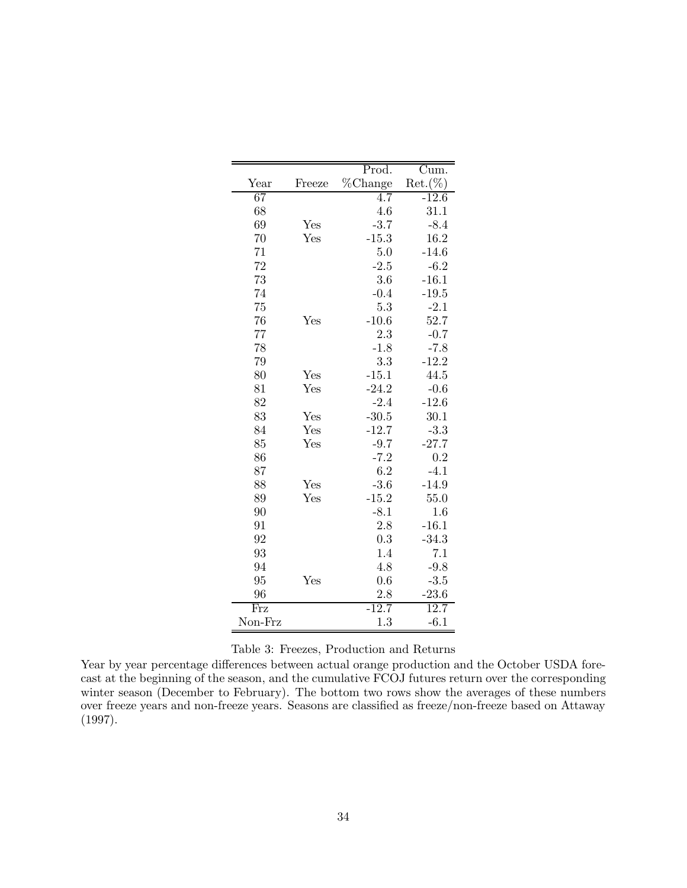|                          |              | Prod.   | $\overline{\mathrm{C}}$ um. |
|--------------------------|--------------|---------|-----------------------------|
| Year                     | Freeze       | %Change | $Ret. (\%)$                 |
| 67                       |              | 4.7     | $-12.6$                     |
| 68                       |              | 4.6     | 31.1                        |
| 69                       | Yes          | $-3.7$  | $-8.4$                      |
| 70                       | Yes          | $-15.3$ | 16.2                        |
| 71                       |              | 5.0     | $-14.6$                     |
| 72                       |              | $-2.5$  | $-6.2$                      |
| 73                       |              | 3.6     | $-16.1$                     |
| 74                       |              | $-0.4$  | $-19.5$                     |
| 75                       |              | 5.3     | $-2.1$                      |
| 76                       | Yes          | $-10.6$ | 52.7                        |
| 77                       |              | 2.3     | $-0.7$                      |
| 78                       |              | $-1.8$  | $-7.8$                      |
| 79                       |              | 3.3     | $-12.2$                     |
| 80                       | Yes          | $-15.1$ | 44.5                        |
| 81                       | Yes          | $-24.2$ | $-0.6$                      |
| 82                       |              | $-2.4$  | $-12.6$                     |
| 83                       | Yes          | $-30.5$ | 30.1                        |
| 84                       | Yes          | $-12.7$ | $-3.3$                      |
| 85                       | Yes          | $-9.7$  | $-27.7$                     |
| 86                       |              | $-7.2$  | 0.2                         |
| 87                       |              | 6.2     | $-4.1$                      |
| 88                       | Yes          | $-3.6$  | $-14.9$                     |
| 89                       | $_{\rm Yes}$ | $-15.2$ | 55.0                        |
| 90                       |              | $-8.1$  | 1.6                         |
| 91                       |              | 2.8     | $-16.1$                     |
| 92                       |              | 0.3     | $-34.3$                     |
| 93                       |              | 1.4     | 7.1                         |
| 94                       |              | 4.8     | $-9.8$                      |
| 95                       | $_{\rm Yes}$ | 0.6     | $-3.5$                      |
| 96                       |              | 2.8     | $-23.6$                     |
| $\overline{\text{Fr}}$ z |              | $-12.7$ | 12.7                        |
| Non-Frz                  |              | 1.3     | $-6.1$                      |

## Table 3: Freezes, Production and Returns

Year by year percentage differences between actual orange production and the October USDA forecast at the beginning of the season, and the cumulative FCOJ futures return over the corresponding winter season (December to February). The bottom two rows show the averages of these numbers over freeze years and non-freeze years. Seasons are classified as freeze/non-freeze based on Attaway (1997).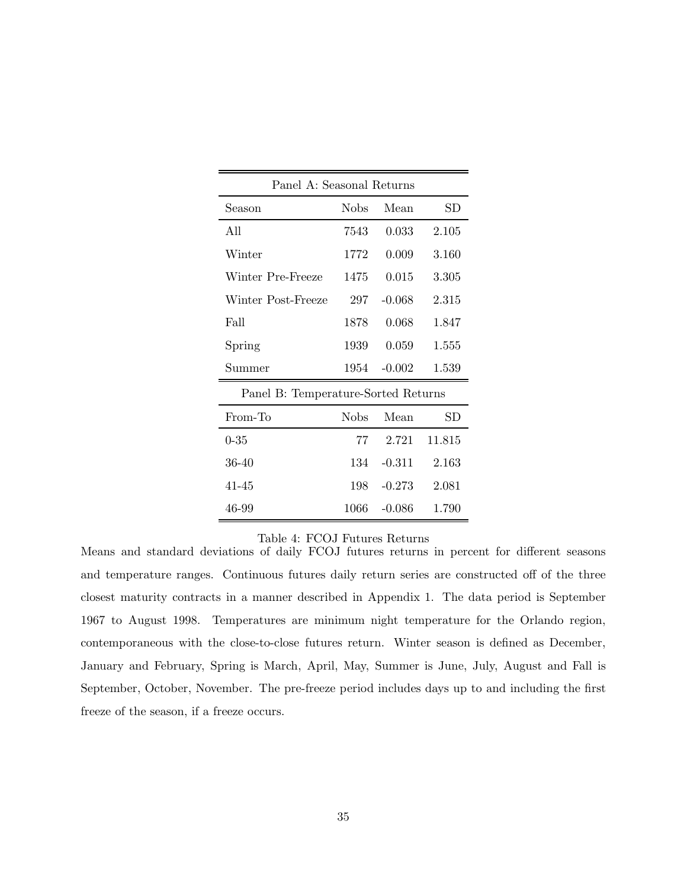| Panel A: Seasonal Returns           |             |          |             |  |  |  |  |  |  |  |
|-------------------------------------|-------------|----------|-------------|--|--|--|--|--|--|--|
| Season                              | <b>Nobs</b> | Mean     | $_{\rm SD}$ |  |  |  |  |  |  |  |
| All                                 | 7543        | 0.033    | 2.105       |  |  |  |  |  |  |  |
| Winter                              | 1772        | 0.009    | 3.160       |  |  |  |  |  |  |  |
| Winter Pre-Freeze                   | 1475        | 0.015    | 3.305       |  |  |  |  |  |  |  |
| Winter Post-Freeze                  | 297         | $-0.068$ | 2.315       |  |  |  |  |  |  |  |
| Fall                                | 1878        | 0.068    | 1.847       |  |  |  |  |  |  |  |
| Spring                              | 1939        | 0.059    | 1.555       |  |  |  |  |  |  |  |
| Summer                              | 1954        | $-0.002$ | 1.539       |  |  |  |  |  |  |  |
| Panel B: Temperature-Sorted Returns |             |          |             |  |  |  |  |  |  |  |
| From-To                             | <b>Nobs</b> | Mean     | SD          |  |  |  |  |  |  |  |
| $0 - 35$                            | 77          | 2.721    | 11.815      |  |  |  |  |  |  |  |
| 36-40                               | 134         | $-0.311$ | 2.163       |  |  |  |  |  |  |  |
| 41-45                               | 198         | $-0.273$ | 2.081       |  |  |  |  |  |  |  |
| 46-99                               | 1066        | $-0.086$ | 1.790       |  |  |  |  |  |  |  |

#### Table 4: FCOJ Futures Returns

Means and standard deviations of daily FCOJ futures returns in percent for different seasons and temperature ranges. Continuous futures daily return series are constructed off of the three closest maturity contracts in a manner described in Appendix 1. The data period is September 1967 to August 1998. Temperatures are minimum night temperature for the Orlando region, contemporaneous with the close-to-close futures return. Winter season is defined as December, January and February, Spring is March, April, May, Summer is June, July, August and Fall is September, October, November. The pre-freeze period includes days up to and including the first freeze of the season, if a freeze occurs.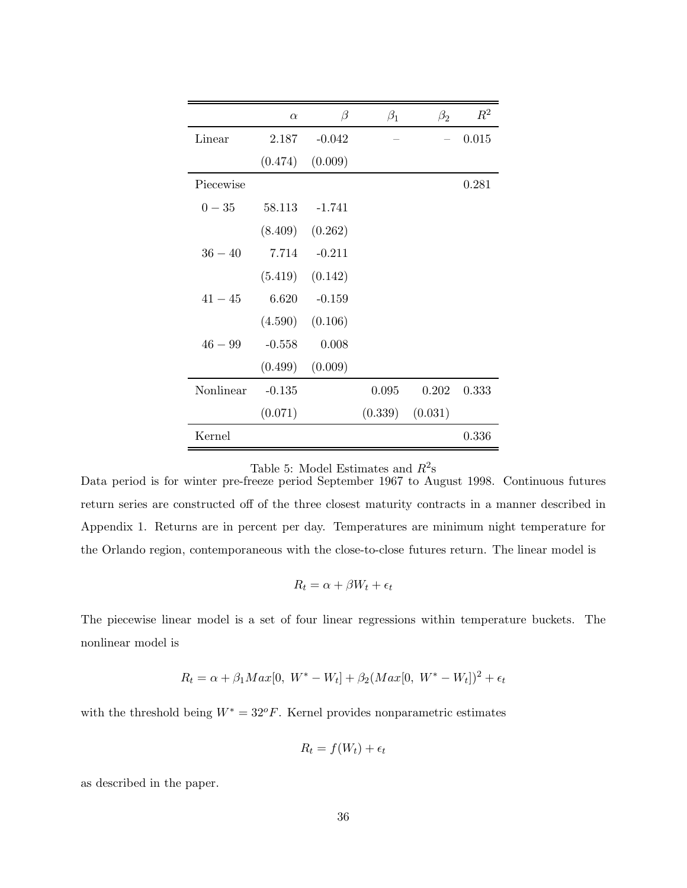|           | $\alpha$ | $\beta$             | $\beta_1$ | $\beta_2$ | $R^2$ |
|-----------|----------|---------------------|-----------|-----------|-------|
| Linear    | 2.187    | $-0.042$            |           |           | 0.015 |
|           | (0.474)  | (0.009)             |           |           |       |
| Piecewise |          |                     |           |           | 0.281 |
| $0 - 35$  | 58.113   | -1.741              |           |           |       |
|           |          | $(8.409)$ $(0.262)$ |           |           |       |
| $36 - 40$ | 7.714    | $-0.211$            |           |           |       |
|           |          | $(5.419)$ $(0.142)$ |           |           |       |
| $41 - 45$ | 6.620    | $-0.159$            |           |           |       |
|           | (4.590)  | (0.106)             |           |           |       |
| $46 - 99$ | $-0.558$ | 0.008               |           |           |       |
|           | (0.499)  | (0.009)             |           |           |       |
| Nonlinear | $-0.135$ |                     | 0.095     | 0.202     | 0.333 |
|           | (0.071)  |                     | (0.339)   | (0.031)   |       |
| Kernel    |          |                     |           |           | 0.336 |

Table 5: Model Estimates and  $R^2$ s

Data period is for winter pre-freeze period September 1967 to August 1998. Continuous futures return series are constructed off of the three closest maturity contracts in a manner described in Appendix 1. Returns are in percent per day. Temperatures are minimum night temperature for the Orlando region, contemporaneous with the close-to-close futures return. The linear model is

$$
R_t = \alpha + \beta W_t + \epsilon_t
$$

The piecewise linear model is a set of four linear regressions within temperature buckets. The nonlinear model is

$$
R_t = \alpha + \beta_1 Max[0, W^* - W_t] + \beta_2 (Max[0, W^* - W_t])^2 + \epsilon_t
$$

with the threshold being  $W^* = 32^{\circ}F$ . Kernel provides nonparametric estimates

$$
R_t = f(W_t) + \epsilon_t
$$

as described in the paper.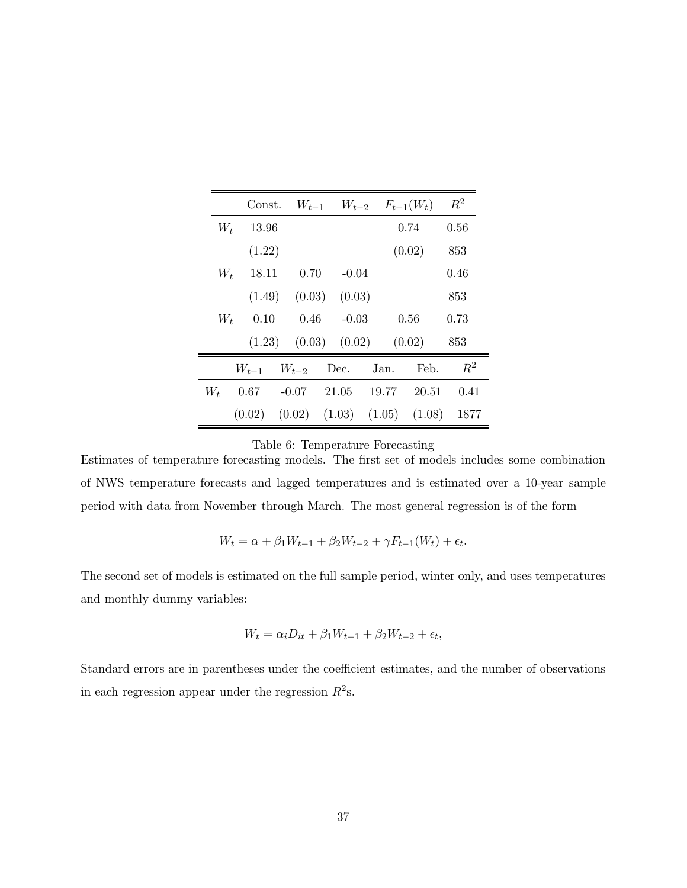|       | Const.    |                            |      | $W_{t-1}$ $W_{t-2}$ $F_{t-1}(W_t)$ |        |                                              | $R^2$ |
|-------|-----------|----------------------------|------|------------------------------------|--------|----------------------------------------------|-------|
| W+    | 13.96     |                            |      |                                    |        | 0.74                                         | 0.56  |
|       | (1.22)    |                            |      |                                    |        | (0.02)                                       | 853   |
| $W_t$ | 18.11     |                            | 0.70 | $-0.04$                            |        |                                              | 0.46  |
|       |           | $(1.49)$ $(0.03)$          |      | (0.03)                             |        |                                              | 853   |
| $W_t$ | 0.10      |                            | 0.46 | $-0.03$                            |        | 0.56                                         | 0.73  |
|       |           | $(1.23)$ $(0.03)$ $(0.02)$ |      |                                    | (0.02) |                                              | 853   |
|       | $W_{t-1}$ | $W_{t-2}$                  |      | Dec.                               | Jan.   | Feb.                                         | $R^2$ |
| $W_t$ | 0.67      | $-0.07$                    |      | 21.05                              | 19.77  | 20.51                                        | 0.41  |
|       |           |                            |      |                                    |        | $(0.02)$ $(0.02)$ $(1.03)$ $(1.05)$ $(1.08)$ | 1877  |

Table 6: Temperature Forecasting

Estimates of temperature forecasting models. The first set of models includes some combination of NWS temperature forecasts and lagged temperatures and is estimated over a 10-year sample period with data from November through March. The most general regression is of the form

$$
W_t = \alpha + \beta_1 W_{t-1} + \beta_2 W_{t-2} + \gamma F_{t-1}(W_t) + \epsilon_t.
$$

The second set of models is estimated on the full sample period, winter only, and uses temperatures and monthly dummy variables:

$$
W_t = \alpha_i D_{it} + \beta_1 W_{t-1} + \beta_2 W_{t-2} + \epsilon_t,
$$

Standard errors are in parentheses under the coefficient estimates, and the number of observations in each regression appear under the regression  $R^2$ s.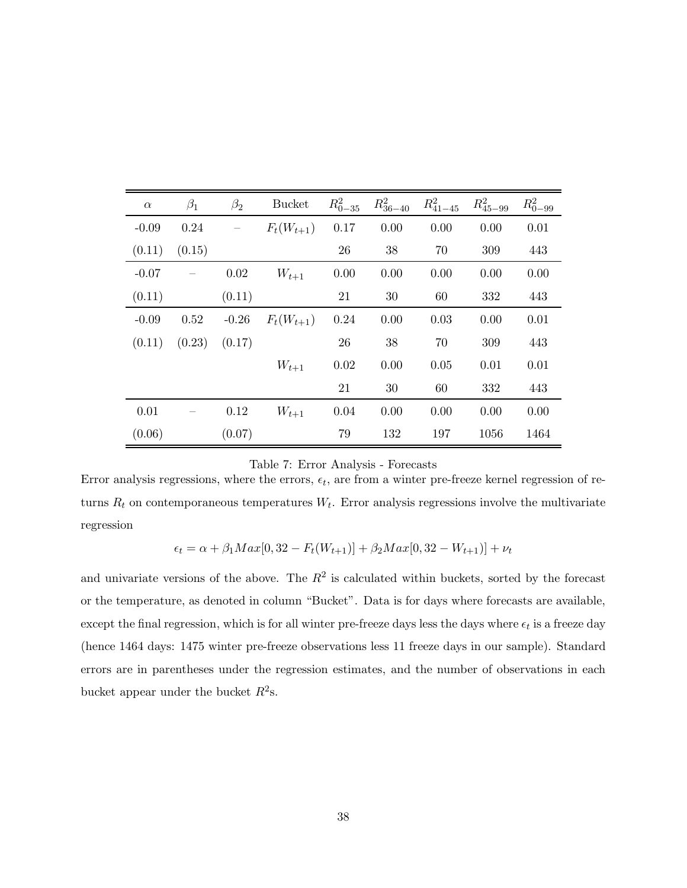| $\alpha$ | $\beta_1$ | $\beta_2$ | <b>Bucket</b>  | $R_{0-35}^2$ | $R_{36-40}^2$ | $R_{41-45}^2$ | $R_{45-99}^2$ | $R_{0-99}^2$ |
|----------|-----------|-----------|----------------|--------------|---------------|---------------|---------------|--------------|
| $-0.09$  | 0.24      |           | $F_t(W_{t+1})$ | 0.17         | 0.00          | 0.00          | 0.00          | 0.01         |
| (0.11)   | (0.15)    |           |                | 26           | 38            | 70            | 309           | 443          |
| $-0.07$  |           | 0.02      | $W_{t+1}$      | 0.00         | 0.00          | 0.00          | 0.00          | 0.00         |
| (0.11)   |           | (0.11)    |                | 21           | 30            | 60            | 332           | 443          |
| $-0.09$  | 0.52      | $-0.26$   | $F_t(W_{t+1})$ | 0.24         | 0.00          | 0.03          | 0.00          | 0.01         |
| (0.11)   | (0.23)    | (0.17)    |                | 26           | 38            | 70            | 309           | 443          |
|          |           |           | $W_{t+1}$      | 0.02         | 0.00          | 0.05          | 0.01          | 0.01         |
|          |           |           |                | 21           | 30            | 60            | 332           | 443          |
| 0.01     |           | 0.12      | $W_{t+1}$      | 0.04         | 0.00          | 0.00          | 0.00          | 0.00         |
| (0.06)   |           | (0.07)    |                | 79           | 132           | 197           | 1056          | 1464         |

|  |  |  |  | Table 7: Error Analysis - Forecasts |
|--|--|--|--|-------------------------------------|
|--|--|--|--|-------------------------------------|

Error analysis regressions, where the errors,  $\epsilon_t$ , are from a winter pre-freeze kernel regression of returns  $R_t$  on contemporaneous temperatures  $W_t$ . Error analysis regressions involve the multivariate regression

$$
\epsilon_t = \alpha + \beta_1 Max[0, 32 - F_t(W_{t+1})] + \beta_2 Max[0, 32 - W_{t+1})] + \nu_t
$$

and univariate versions of the above. The  $R^2$  is calculated within buckets, sorted by the forecast or the temperature, as denoted in column "Bucket". Data is for days where forecasts are available, except the final regression, which is for all winter pre-freeze days less the days where  $\epsilon_t$  is a freeze day (hence 1464 days: 1475 winter pre-freeze observations less 11 freeze days in our sample). Standard errors are in parentheses under the regression estimates, and the number of observations in each bucket appear under the bucket  $R^2$ s.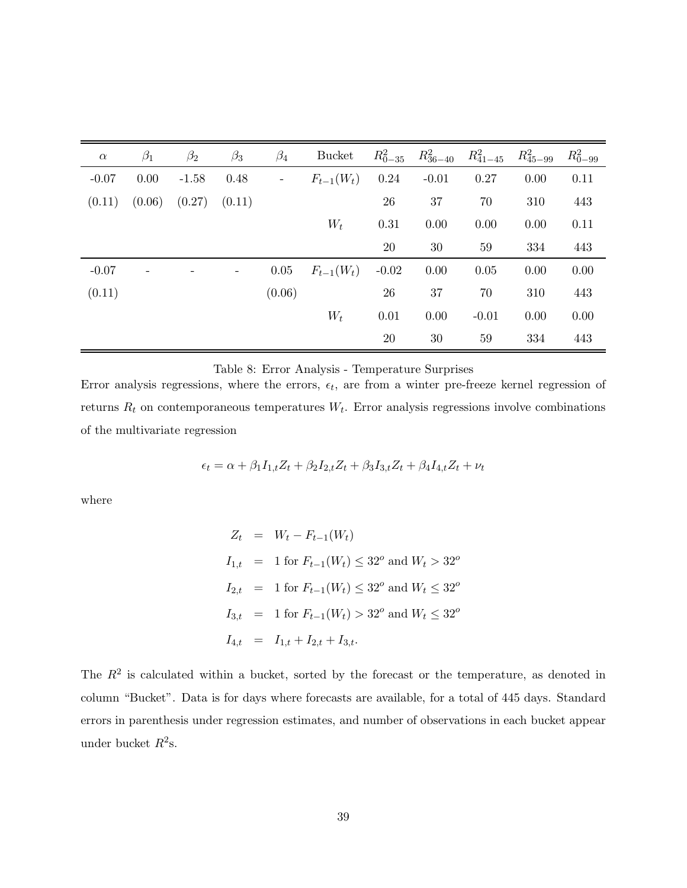| $\alpha$ | $\beta_1$ | $\beta_2$ | $\beta_3$         | $\beta_4$                | <b>Bucket</b>  | $R_{0-35}^2$ | $R_{36-40}^2$ | $R_{41-45}^2$ | $R_{45-99}^2$ | $R_{0-99}^2$ |
|----------|-----------|-----------|-------------------|--------------------------|----------------|--------------|---------------|---------------|---------------|--------------|
| $-0.07$  | 0.00      | $-1.58$   | 0.48              | $\overline{\phantom{a}}$ | $F_{t-1}(W_t)$ | 0.24         | $-0.01$       | 0.27          | 0.00          | 0.11         |
| (0.11)   | (0.06)    | (0.27)    | (0.11)            |                          |                | 26           | 37            | 70            | 310           | 443          |
|          |           |           |                   |                          | $W_t$          | 0.31         | 0.00          | 0.00          | 0.00          | 0.11         |
|          |           |           |                   |                          |                | 20           | 30            | 59            | 334           | 443          |
| $-0.07$  |           |           | $\qquad \qquad -$ | 0.05                     | $F_{t-1}(W_t)$ | $-0.02$      | 0.00          | 0.05          | 0.00          | 0.00         |
| (0.11)   |           |           |                   | (0.06)                   |                | ${\bf 26}$   | 37            | 70            | 310           | 443          |
|          |           |           |                   |                          | $W_t$          | 0.01         | 0.00          | $-0.01$       | 0.00          | 0.00         |
|          |           |           |                   |                          |                | $20\,$       | 30            | 59            | 334           | 443          |

Table 8: Error Analysis - Temperature Surprises

Error analysis regressions, where the errors,  $\epsilon_t$ , are from a winter pre-freeze kernel regression of returns R*<sup>t</sup>* on contemporaneous temperatures W*t*. Error analysis regressions involve combinations of the multivariate regression

 $\epsilon_t = \alpha + \beta_1 I_{1,t} Z_t + \beta_2 I_{2,t} Z_t + \beta_3 I_{3,t} Z_t + \beta_4 I_{4,t} Z_t + \nu_t$ 

where

$$
Z_t = W_t - F_{t-1}(W_t)
$$
  
\n
$$
I_{1,t} = 1 \text{ for } F_{t-1}(W_t) \le 32^o \text{ and } W_t > 32^o
$$
  
\n
$$
I_{2,t} = 1 \text{ for } F_{t-1}(W_t) \le 32^o \text{ and } W_t \le 32^o
$$
  
\n
$$
I_{3,t} = 1 \text{ for } F_{t-1}(W_t) > 32^o \text{ and } W_t \le 32^o
$$
  
\n
$$
I_{4,t} = I_{1,t} + I_{2,t} + I_{3,t}.
$$

The  $R<sup>2</sup>$  is calculated within a bucket, sorted by the forecast or the temperature, as denoted in column "Bucket". Data is for days where forecasts are available, for a total of 445 days. Standard errors in parenthesis under regression estimates, and number of observations in each bucket appear under bucket  $R^2$ s.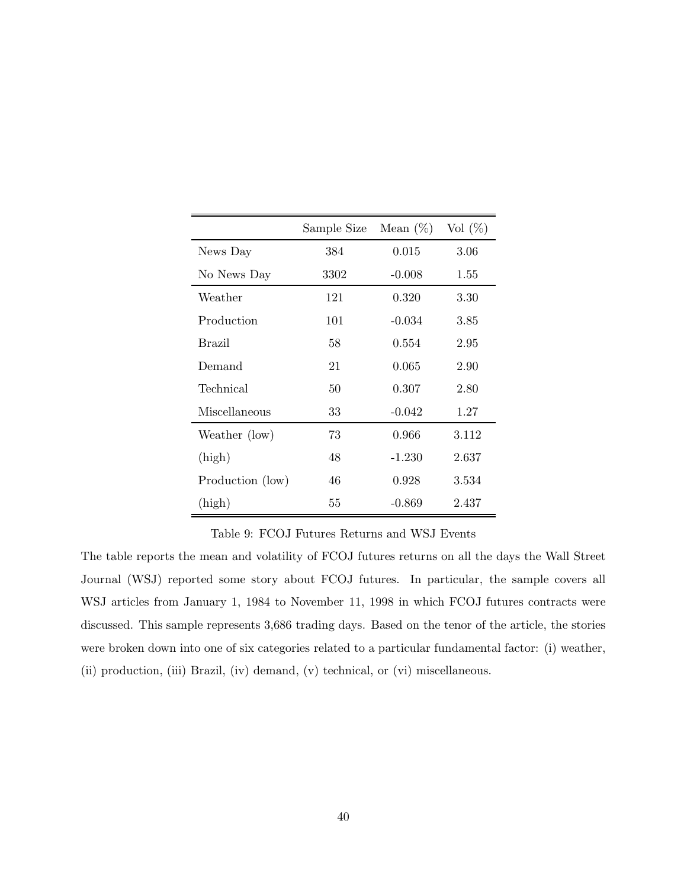|                  | Sample Size | Mean $(\%)$ | Vol $(\%)$ |
|------------------|-------------|-------------|------------|
| News Day         | 384         | 0.015       | 3.06       |
| No News Day      | 3302        | $-0.008$    | 1.55       |
| Weather          | 121         | 0.320       | 3.30       |
| Production       | 101         | $-0.034$    | 3.85       |
| Brazil           | 58          | 0.554       | 2.95       |
| Demand           | 21          | 0.065       | 2.90       |
| Technical        | 50          | 0.307       | 2.80       |
| Miscellaneous    | 33          | $-0.042$    | 1.27       |
| Weather (low)    | 73          | 0.966       | 3.112      |
| (high)           | 48          | $-1.230$    | 2.637      |
| Production (low) | 46          | 0.928       | 3.534      |
| (high)           | 55          | $-0.869$    | 2.437      |

Table 9: FCOJ Futures Returns and WSJ Events

The table reports the mean and volatility of FCOJ futures returns on all the days the Wall Street Journal (WSJ) reported some story about FCOJ futures. In particular, the sample covers all WSJ articles from January 1, 1984 to November 11, 1998 in which FCOJ futures contracts were discussed. This sample represents 3,686 trading days. Based on the tenor of the article, the stories were broken down into one of six categories related to a particular fundamental factor: (i) weather, (ii) production, (iii) Brazil, (iv) demand, (v) technical, or (vi) miscellaneous.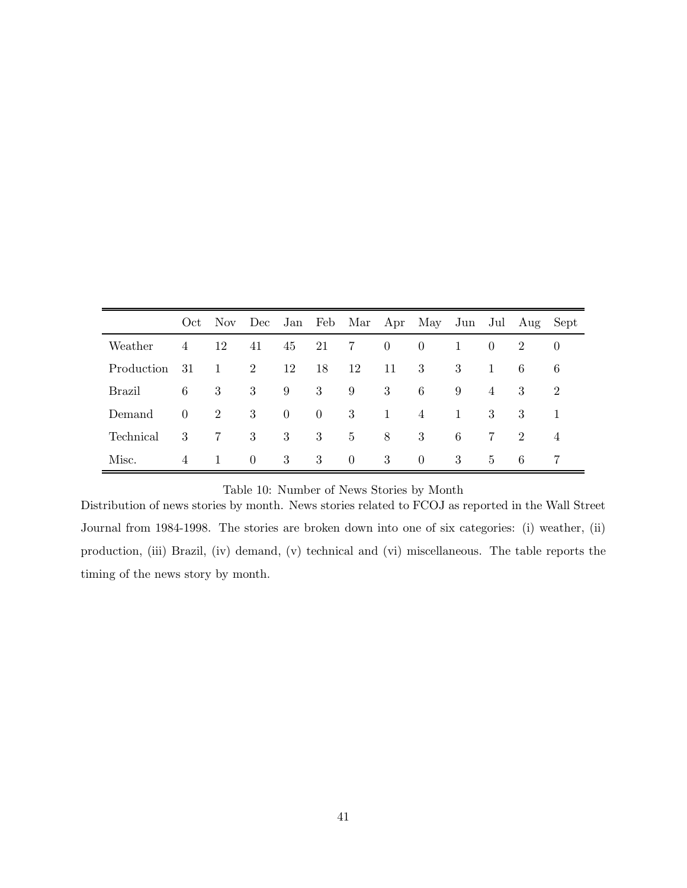|               |                                 |                |          |                |                |                |                | Oct Nov Dec Jan Feb Mar Apr May Jun Jul Aug Sept |              |                |                |          |
|---------------|---------------------------------|----------------|----------|----------------|----------------|----------------|----------------|--------------------------------------------------|--------------|----------------|----------------|----------|
| Weather       | $\overline{4}$                  | 12             |          |                | 41 45 21       | $7\degree$     | $\overline{0}$ | $\overline{0}$                                   | 1            | $\overline{0}$ | 2              | $\theta$ |
| Production 31 |                                 | $\mathbf{1}$   | 2        | 12             | 18             | 12             | 11             | 3                                                | 3            | 1              | 6              | 6        |
| Brazil        | 6                               | 3              | 3        | 9              | 3              | 9              | 3              | 6                                                | 9            | 4              | 3              | 2        |
| Demand        | $\begin{matrix} 0 \end{matrix}$ | $\overline{2}$ | 3        | $\overline{0}$ | $\overline{0}$ | -3             | $\mathbf{1}$   | $\overline{4}$                                   | $\mathbf{1}$ | 3              | 3              |          |
| Technical     | 3                               | 7              | 3        | 3              | 3              | $5^{\circ}$    | 8              | 3                                                | 6            | 7              | $\overline{2}$ | 4        |
| Misc.         | 4                               | $\overline{1}$ | $\theta$ | 3              | 3              | $\overline{0}$ | 3              | $\theta$                                         | 3            | $\overline{5}$ | 6              | -7       |

## Table 10: Number of News Stories by Month

Distribution of news stories by month. News stories related to FCOJ as reported in the Wall Street Journal from 1984-1998. The stories are broken down into one of six categories: (i) weather, (ii) production, (iii) Brazil, (iv) demand, (v) technical and (vi) miscellaneous. The table reports the timing of the news story by month.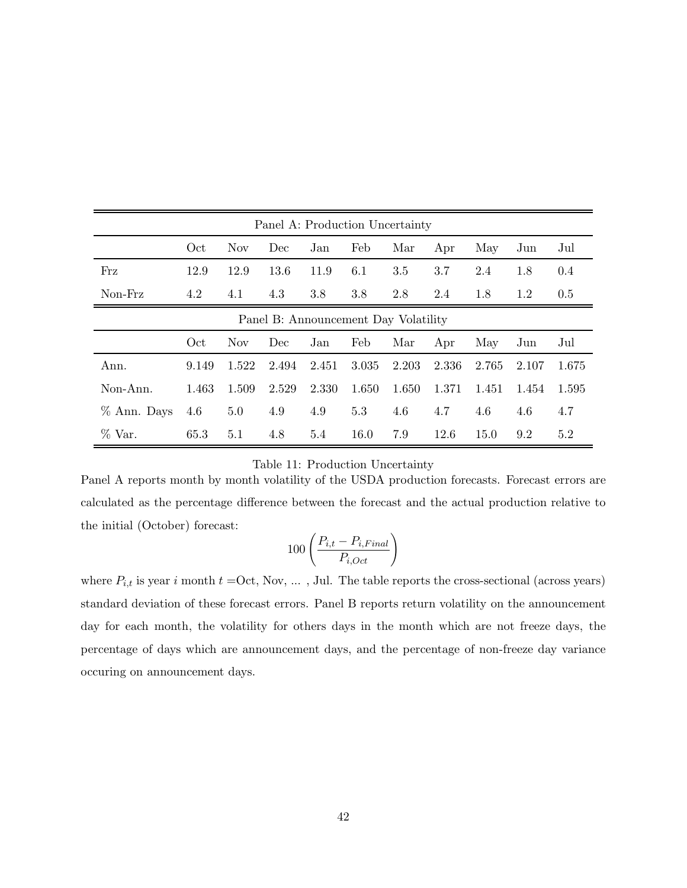| Panel A: Production Uncertainty      |       |       |       |       |       |       |       |       |       |       |  |
|--------------------------------------|-------|-------|-------|-------|-------|-------|-------|-------|-------|-------|--|
|                                      | Oct   | Nov.  | Dec   | Jan   | Feb   | Mar   | Apr   | May   | Jun   | Jul   |  |
| Frz                                  | 12.9  | 12.9  | 13.6  | 11.9  | 6.1   | 3.5   | 3.7   | 2.4   | 1.8   | 0.4   |  |
| Non-Frz                              | 4.2   | 4.1   | 4.3   | 3.8   | 3.8   | 2.8   | 2.4   | 1.8   | 1.2   | 0.5   |  |
| Panel B: Announcement Day Volatility |       |       |       |       |       |       |       |       |       |       |  |
|                                      | Oct   | Nov.  | Dec   | Jan   | Feb   | Mar   | Apr   | May   | Jun   | Jul   |  |
| Ann.                                 | 9.149 | 1.522 | 2.494 | 2.451 | 3.035 | 2.203 | 2.336 | 2.765 | 2.107 | 1.675 |  |
| Non-Ann.                             | 1.463 | 1.509 | 2.529 | 2.330 | 1.650 | 1.650 | 1.371 | 1.451 | 1.454 | 1.595 |  |
| % Ann. Days                          | 4.6   | 5.0   | 4.9   | 4.9   | 5.3   | 4.6   | 4.7   | 4.6   | 4.6   | 4.7   |  |
| $\%$ Var.                            | 65.3  | 5.1   | 4.8   | 5.4   | 16.0  | 7.9   | 12.6  | 15.0  | 9.2   | 5.2   |  |

#### Table 11: Production Uncertainty

Panel A reports month by month volatility of the USDA production forecasts. Forecast errors are calculated as the percentage difference between the forecast and the actual production relative to the initial (October) forecast:

$$
100\left(\frac{P_{i,t}-P_{i,Final}}{P_{i,Oct}}\right)
$$

where  $P_{i,t}$  is year i month  $t =$ Oct, Nov, ..., Jul. The table reports the cross-sectional (across years) standard deviation of these forecast errors. Panel B reports return volatility on the announcement day for each month, the volatility for others days in the month which are not freeze days, the percentage of days which are announcement days, and the percentage of non-freeze day variance occuring on announcement days.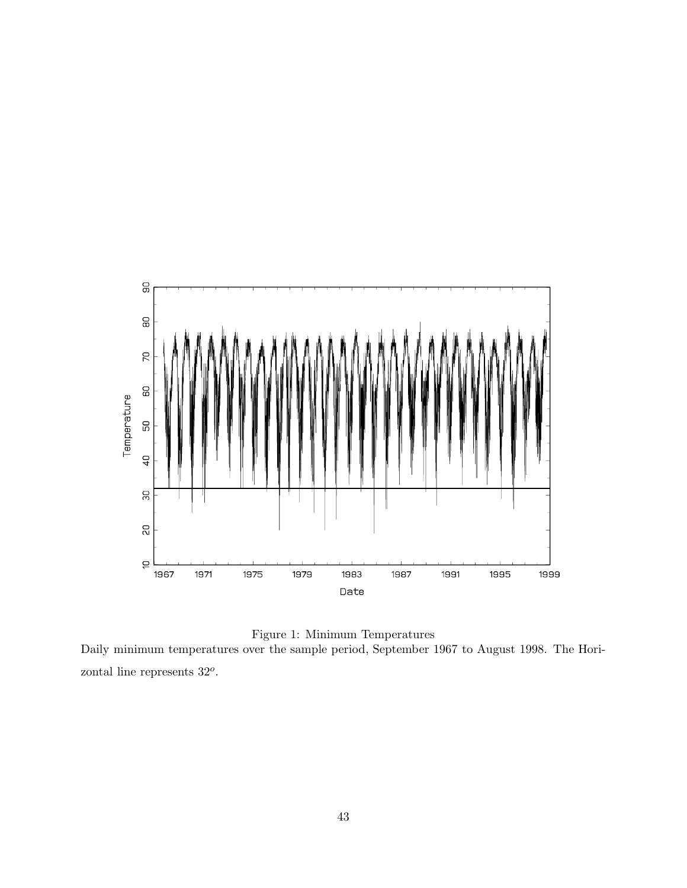

Figure 1: Minimum Temperatures Daily minimum temperatures over the sample period, September 1967 to August 1998. The Horizontal line represents 32*o*.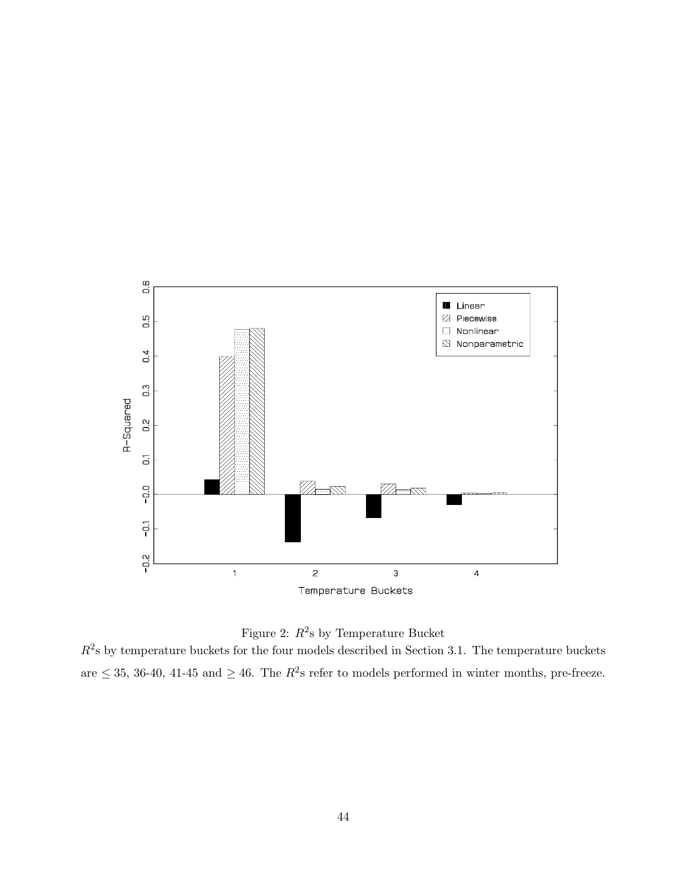



 $R^2$ s by temperature buckets for the four models described in Section 3.1. The temperature buckets are  $\leq$  35, 36-40, 41-45 and  $\geq$  46. The  $R^2$ s refer to models performed in winter months, pre-freeze.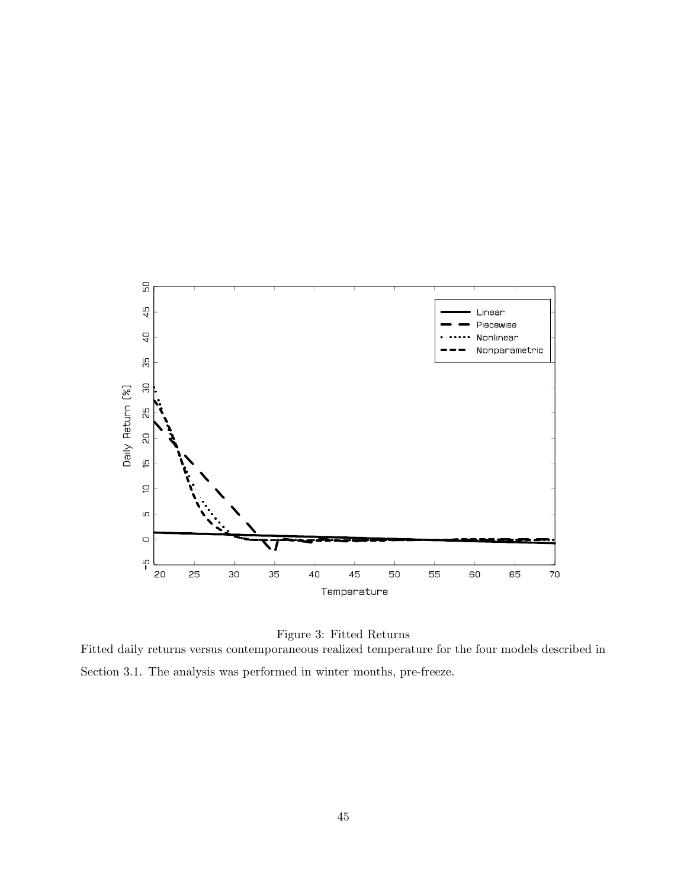



Fitted daily returns versus contemporaneous realized temperature for the four models described in Section 3.1. The analysis was performed in winter months, pre-freeze.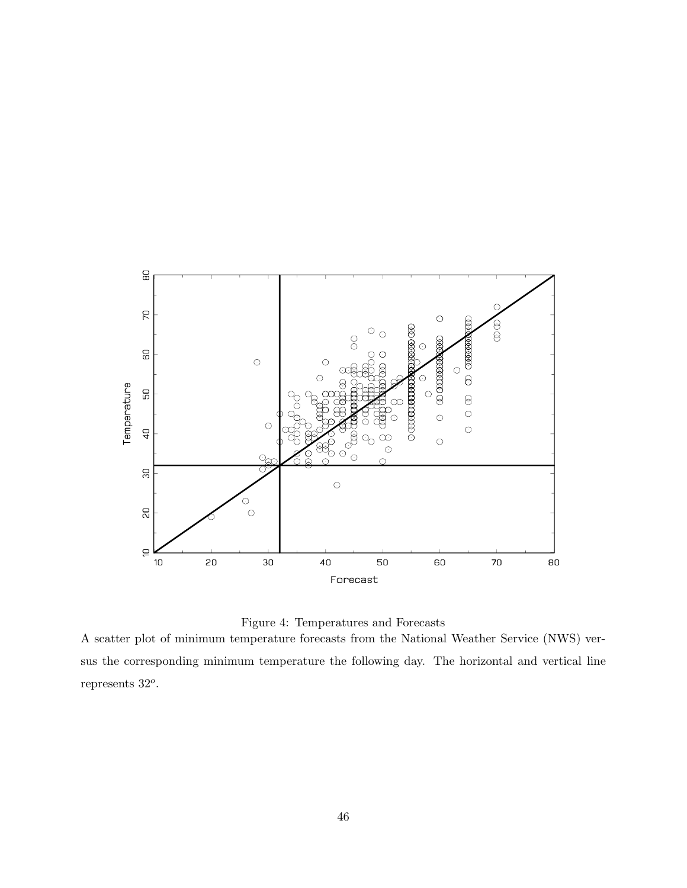



A scatter plot of minimum temperature forecasts from the National Weather Service (NWS) versus the corresponding minimum temperature the following day. The horizontal and vertical line represents 32*o*.